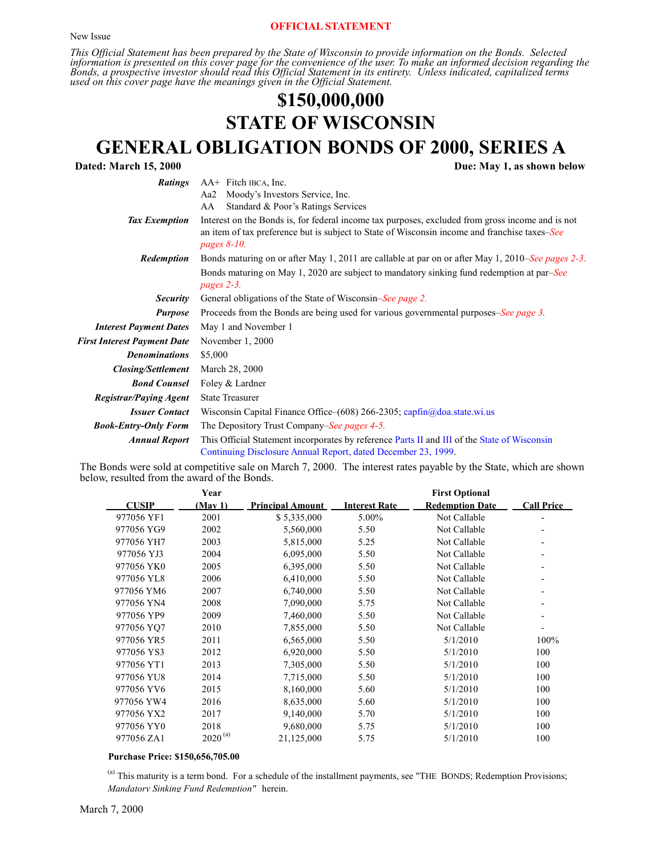#### **OFFICIAL STATEMENT**

*This Official Statement has been prepared by the State of Wisconsin to provide information on the Bonds. Selected information is presented on this cover page for the convenience of the user. To make an informed decision regarding the Bonds, a prospective investor should read this Official Statement in its entirety. Unless indicated, capitalized terms used on this cover page have the meanings given in the Official Statement.*

# **\$150,000,000 STATE OF WISCONSIN GENERAL OBLIGATION BONDS OF 2000, SERIES A**<br>Due: May 1, as shown below

| <b>Dated: March 15, 2000</b>       | Due: May 1, as shown below                                                                                                                                                                                          |
|------------------------------------|---------------------------------------------------------------------------------------------------------------------------------------------------------------------------------------------------------------------|
| <b>Ratings</b>                     | AA+ Fitch IBCA, Inc.                                                                                                                                                                                                |
|                                    | Moody's Investors Service, Inc.<br>Aa2                                                                                                                                                                              |
|                                    | Standard & Poor's Ratings Services<br>AA                                                                                                                                                                            |
| <b>Tax Exemption</b>               | Interest on the Bonds is, for federal income tax purposes, excluded from gross income and is not<br>an item of tax preference but is subject to State of Wisconsin income and franchise taxes–See<br>pages $8-10$ . |
| Redemption                         | Bonds maturing on or after May 1, 2011 are callable at par on or after May 1, 2010–See pages 2-3.                                                                                                                   |
|                                    | Bonds maturing on May 1, 2020 are subject to mandatory sinking fund redemption at par–See<br>pages 2-3.                                                                                                             |
| <b>Security</b>                    | General obligations of the State of Wisconsin–See page 2.                                                                                                                                                           |
| <b>Purpose</b>                     | Proceeds from the Bonds are being used for various governmental purposes-See page 3.                                                                                                                                |
| <b>Interest Payment Dates</b>      | May 1 and November 1                                                                                                                                                                                                |
| <b>First Interest Payment Date</b> | November 1, 2000                                                                                                                                                                                                    |
| <b>Denominations</b>               | \$5,000                                                                                                                                                                                                             |
| <b>Closing/Settlement</b>          | March 28, 2000                                                                                                                                                                                                      |
| <b>Bond Counsel</b>                | Foley & Lardner                                                                                                                                                                                                     |
| <b>Registrar/Paying Agent</b>      | <b>State Treasurer</b>                                                                                                                                                                                              |
| <b>Issuer Contact</b>              | Wisconsin Capital Finance Office-(608) 266-2305; capfin@doa.state.wi.us                                                                                                                                             |
| <b>Book-Entry-Only Form</b>        | The Depository Trust Company–See pages 4-5.                                                                                                                                                                         |
| <b>Annual Report</b>               | This Official Statement incorporates by reference Parts II and III of the State of Wisconsin<br>Continuing Disclosure Annual Report, dated December 23, 1999.                                                       |

<span id="page-0-0"></span>The Bonds were sold at competitive sale on March 7, 2000. The interest rates payable by the State, which are shown below, resulted from the award of the Bonds.

|              | Year         |                         |                      | <b>First Optional</b>  |                   |
|--------------|--------------|-------------------------|----------------------|------------------------|-------------------|
| <b>CUSIP</b> | (Mav1)       | <b>Principal Amount</b> | <b>Interest Rate</b> | <b>Redemption Date</b> | <b>Call Price</b> |
| 977056 YF1   | 2001         | \$5,335,000             | 5.00%                | Not Callable           |                   |
| 977056 YG9   | 2002         | 5,560,000               | 5.50                 | Not Callable           |                   |
| 977056 YH7   | 2003         | 5,815,000               | 5.25                 | Not Callable           |                   |
| 977056 YJ3   | 2004         | 6,095,000               | 5.50                 | Not Callable           |                   |
| 977056 YK0   | 2005         | 6,395,000               | 5.50                 | Not Callable           |                   |
| 977056 YL8   | 2006         | 6,410,000               | 5.50                 | Not Callable           |                   |
| 977056 YM6   | 2007         | 6,740,000               | 5.50                 | Not Callable           |                   |
| 977056 YN4   | 2008         | 7,090,000               | 5.75                 | Not Callable           |                   |
| 977056 YP9   | 2009         | 7,460,000               | 5.50                 | Not Callable           |                   |
| 977056 YO7   | 2010         | 7,855,000               | 5.50                 | Not Callable           |                   |
| 977056 YR5   | 2011         | 6,565,000               | 5.50                 | 5/1/2010               | 100%              |
| 977056 YS3   | 2012         | 6,920,000               | 5.50                 | 5/1/2010               | 100               |
| 977056 YT1   | 2013         | 7,305,000               | 5.50                 | 5/1/2010               | 100               |
| 977056 YU8   | 2014         | 7,715,000               | 5.50                 | 5/1/2010               | 100               |
| 977056 YV6   | 2015         | 8,160,000               | 5.60                 | 5/1/2010               | 100               |
| 977056 YW4   | 2016         | 8,635,000               | 5.60                 | 5/1/2010               | 100               |
| 977056 YX2   | 2017         | 9,140,000               | 5.70                 | 5/1/2010               | 100               |
| 977056 YY0   | 2018         | 9,680,000               | 5.75                 | 5/1/2010               | 100               |
| 977056 ZA1   | $2020^{(a)}$ | 21,125,000              | 5.75                 | 5/1/2010               | 100               |
|              |              |                         |                      |                        |                   |

#### **Purchase Price: \$150,656,705.00**

(a) This maturity is a term bond. For a schedule of the installment payments, see "THE BONDS; Redemption Provisions; *Mandatory Sinking Fund Redemption"* herein.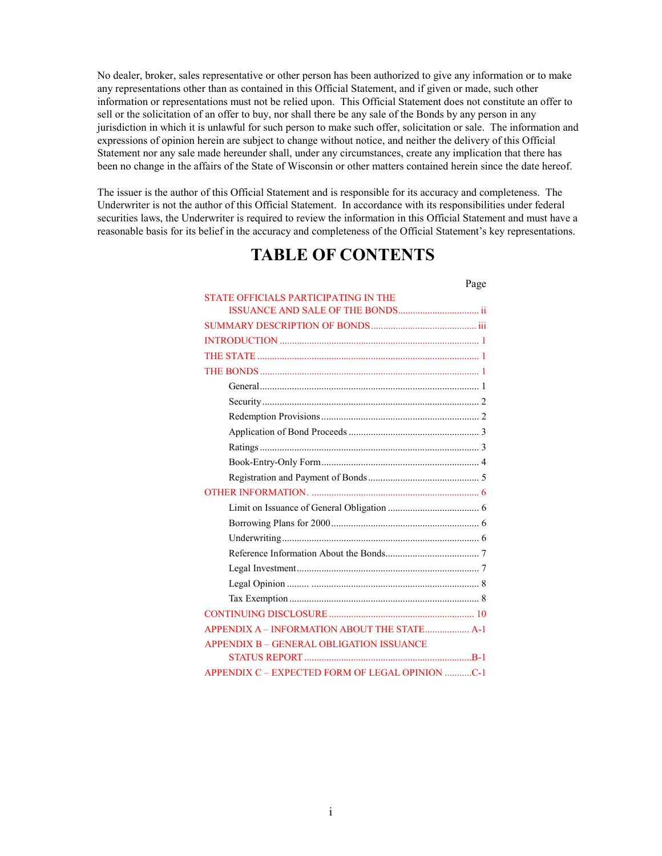No dealer, broker, sales representative or other person has been authorized to give any information or to make any representations other than as contained in this Official Statement, and if given or made, such other information or representations must not be relied upon. This Official Statement does not constitute an offer to sell or the solicitation of an offer to buy, nor shall there be any sale of the Bonds by any person in any jurisdiction in which it is unlawful for such person to make such offer, solicitation or sale. The information and expressions of opinion herein are subject to change without notice, and neither the delivery of this Official Statement nor any sale made hereunder shall, under any circumstances, create any implication that there has been no change in the affairs of the State of Wisconsin or other matters contained herein since the date hereof.

The issuer is the author of this Official Statement and is responsible for its accuracy and completeness. The Underwriter is not the author of this Official Statement. In accordance with its responsibilities under federal securities laws, the Underwriter is required to review the information in this Official Statement and must have a reasonable basis for its belief in the accuracy and completeness of the Official Statement's key representations.

# **TABLE OF CONTENTS**

|                                                 | Page |
|-------------------------------------------------|------|
| STATE OFFICIALS PARTICIPATING IN THE            |      |
|                                                 |      |
|                                                 |      |
|                                                 |      |
|                                                 |      |
|                                                 |      |
|                                                 |      |
|                                                 |      |
|                                                 |      |
|                                                 |      |
|                                                 |      |
|                                                 |      |
|                                                 |      |
|                                                 |      |
|                                                 |      |
|                                                 |      |
|                                                 |      |
|                                                 |      |
|                                                 |      |
|                                                 |      |
|                                                 |      |
|                                                 |      |
| APPENDIX A - INFORMATION ABOUT THE STATE A-1    |      |
| <b>APPENDIX B - GENERAL OBLIGATION ISSUANCE</b> |      |
|                                                 |      |
| APPENDIX C - EXPECTED FORM OF LEGAL OPINION C-1 |      |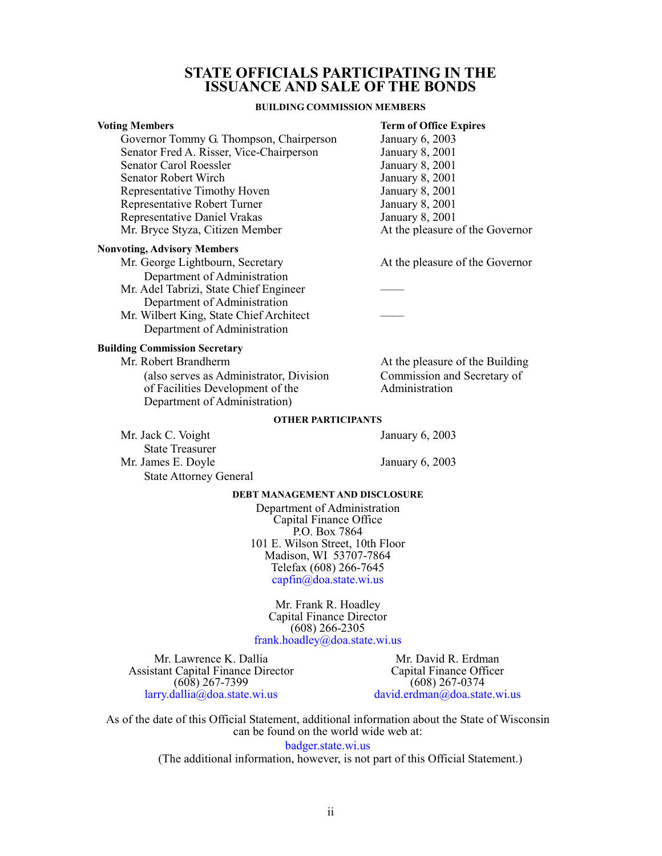## **STATE OFFICIALS PARTICIPATING IN THE ISSUANCE AND SALE OF THE BONDS**

#### **BUILDING COMMISSION MEMBERS**

<span id="page-2-0"></span>

| <b>Voting Members</b>                    | <b>Term of Office Expires</b>   |
|------------------------------------------|---------------------------------|
| Governor Tommy G. Thompson, Chairperson  | January 6, 2003                 |
| Senator Fred A. Risser, Vice-Chairperson | January 8, 2001                 |
| Senator Carol Roessler                   | January 8, 2001                 |
| Senator Robert Wirch                     | January 8, 2001                 |
| Representative Timothy Hoven             | January 8, 2001                 |
| Representative Robert Turner             | January 8, 2001                 |
| <b>Representative Daniel Vrakas</b>      | January 8, 2001                 |
| Mr. Bryce Styza, Citizen Member          | At the pleasure of the Governor |
|                                          |                                 |

#### **Nonvoting, Advisory Members**

Mr. George Lightbourn, Secretary At the pleasure of the Governor Department of Administration

- Mr. Adel Tabrizi, State Chief Engineer Department of Administration
- Mr. Wilbert King, State Chief Architect Department of Administration

#### **Building Commission Secretary**

Mr. Robert Brandherm **At the pleasure of the Building** (also serves as Administrator, Division Commission and Secretary of of Facilities Development of the Administration Department of Administration)

#### **OTHER PARTICIPANTS**

Mr. Jack C. Voight January 6, 2003 State Treasurer Mr. James E. Doyle January 6, 2003 State Attorney General

#### **DEBT MANAGEMENT AND DISCLOSURE**

Department of Administration Capital Finance Office P.O. Box 7864 101 E. Wilson Street, 10th Floor Madison, WI 53707-7864 Telefax (608) 266-7645 [capfin@doa.state.wi.us](mailto:capfin@doa.state.wi.us)

Mr. Frank R. Hoadley Capital Finance Director (608) 266-2305 [frank.hoadley@doa.state.wi.us](mailto:frank.hoadley@doa.state.wi.us)

Mr. Lawrence K. Dallia Assistant Capital Finance Director (608) 267-7399 [larry.dallia@doa.state.wi.us](mailto:larry.dallia@doa.state.wi.us)

Mr. David R. Erdman Capital Finance Officer (608) 267-0374 [david.erdman@doa.state.wi.us](mailto:david.erdman@doa.state.wi.us)

As of the date of this Official Statement, additional information about the State of Wisconsin can be found on the world wide web at:

[badger.state.wi.us](http://badger.state.wi.us/)

(The additional information, however, is not part of this Official Statement.)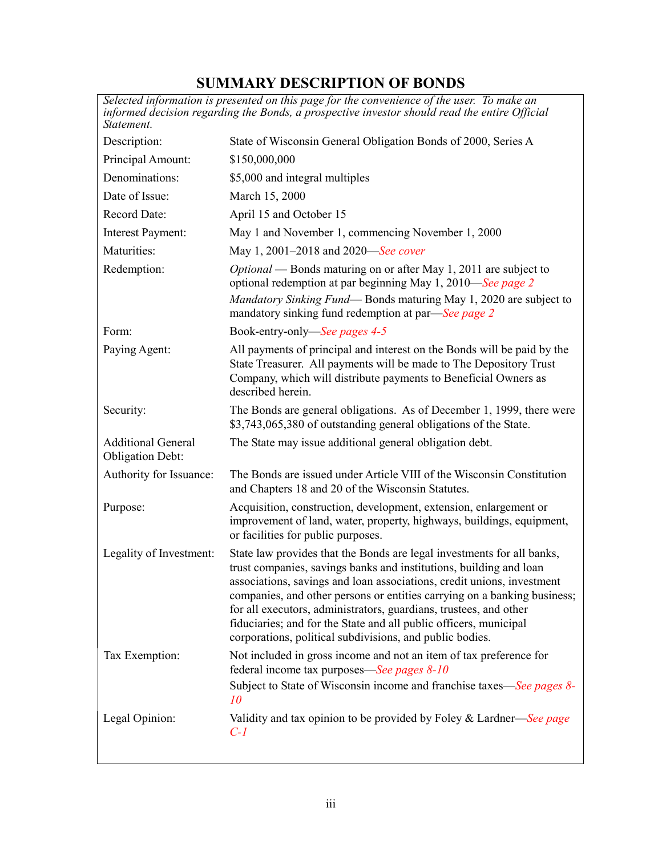# **SUMMARY DESCRIPTION OF BONDS**

<span id="page-3-0"></span>

| Selected information is presented on this page for the convenience of the user. To make an<br>informed decision regarding the Bonds, a prospective investor should read the entire Official<br>Statement. |                                                                                                                                                                                                                                                                                                                                                                                                                                                                                                          |  |  |  |  |  |
|-----------------------------------------------------------------------------------------------------------------------------------------------------------------------------------------------------------|----------------------------------------------------------------------------------------------------------------------------------------------------------------------------------------------------------------------------------------------------------------------------------------------------------------------------------------------------------------------------------------------------------------------------------------------------------------------------------------------------------|--|--|--|--|--|
| Description:                                                                                                                                                                                              | State of Wisconsin General Obligation Bonds of 2000, Series A                                                                                                                                                                                                                                                                                                                                                                                                                                            |  |  |  |  |  |
| Principal Amount:                                                                                                                                                                                         | \$150,000,000                                                                                                                                                                                                                                                                                                                                                                                                                                                                                            |  |  |  |  |  |
| Denominations:                                                                                                                                                                                            | \$5,000 and integral multiples                                                                                                                                                                                                                                                                                                                                                                                                                                                                           |  |  |  |  |  |
| Date of Issue:                                                                                                                                                                                            | March 15, 2000                                                                                                                                                                                                                                                                                                                                                                                                                                                                                           |  |  |  |  |  |
| Record Date:                                                                                                                                                                                              | April 15 and October 15                                                                                                                                                                                                                                                                                                                                                                                                                                                                                  |  |  |  |  |  |
| Interest Payment:                                                                                                                                                                                         | May 1 and November 1, commencing November 1, 2000                                                                                                                                                                                                                                                                                                                                                                                                                                                        |  |  |  |  |  |
| Maturities:                                                                                                                                                                                               | May 1, 2001–2018 and 2020—See cover                                                                                                                                                                                                                                                                                                                                                                                                                                                                      |  |  |  |  |  |
| Redemption:                                                                                                                                                                                               | <i>Optional</i> — Bonds maturing on or after May 1, 2011 are subject to<br>optional redemption at par beginning May 1, 2010—See page 2<br>Mandatory Sinking Fund—Bonds maturing May 1, 2020 are subject to<br>mandatory sinking fund redemption at par—See page 2                                                                                                                                                                                                                                        |  |  |  |  |  |
| Form:                                                                                                                                                                                                     | Book-entry-only—See pages 4-5                                                                                                                                                                                                                                                                                                                                                                                                                                                                            |  |  |  |  |  |
| Paying Agent:                                                                                                                                                                                             | All payments of principal and interest on the Bonds will be paid by the<br>State Treasurer. All payments will be made to The Depository Trust<br>Company, which will distribute payments to Beneficial Owners as<br>described herein.                                                                                                                                                                                                                                                                    |  |  |  |  |  |
| Security:                                                                                                                                                                                                 | The Bonds are general obligations. As of December 1, 1999, there were<br>\$3,743,065,380 of outstanding general obligations of the State.                                                                                                                                                                                                                                                                                                                                                                |  |  |  |  |  |
| <b>Additional General</b><br><b>Obligation Debt:</b>                                                                                                                                                      | The State may issue additional general obligation debt.                                                                                                                                                                                                                                                                                                                                                                                                                                                  |  |  |  |  |  |
| Authority for Issuance:                                                                                                                                                                                   | The Bonds are issued under Article VIII of the Wisconsin Constitution<br>and Chapters 18 and 20 of the Wisconsin Statutes.                                                                                                                                                                                                                                                                                                                                                                               |  |  |  |  |  |
| Purpose:                                                                                                                                                                                                  | Acquisition, construction, development, extension, enlargement or<br>improvement of land, water, property, highways, buildings, equipment,<br>or facilities for public purposes.                                                                                                                                                                                                                                                                                                                         |  |  |  |  |  |
| Legality of Investment:                                                                                                                                                                                   | State law provides that the Bonds are legal investments for all banks,<br>trust companies, savings banks and institutions, building and loan<br>associations, savings and loan associations, credit unions, investment<br>companies, and other persons or entities carrying on a banking business;<br>for all executors, administrators, guardians, trustees, and other<br>fiduciaries; and for the State and all public officers, municipal<br>corporations, political subdivisions, and public bodies. |  |  |  |  |  |
| Tax Exemption:                                                                                                                                                                                            | Not included in gross income and not an item of tax preference for<br>federal income tax purposes—See pages 8-10<br>Subject to State of Wisconsin income and franchise taxes—See pages 8-<br>10                                                                                                                                                                                                                                                                                                          |  |  |  |  |  |
| Legal Opinion:                                                                                                                                                                                            | Validity and tax opinion to be provided by Foley & Lardner—See page<br>$C-I$                                                                                                                                                                                                                                                                                                                                                                                                                             |  |  |  |  |  |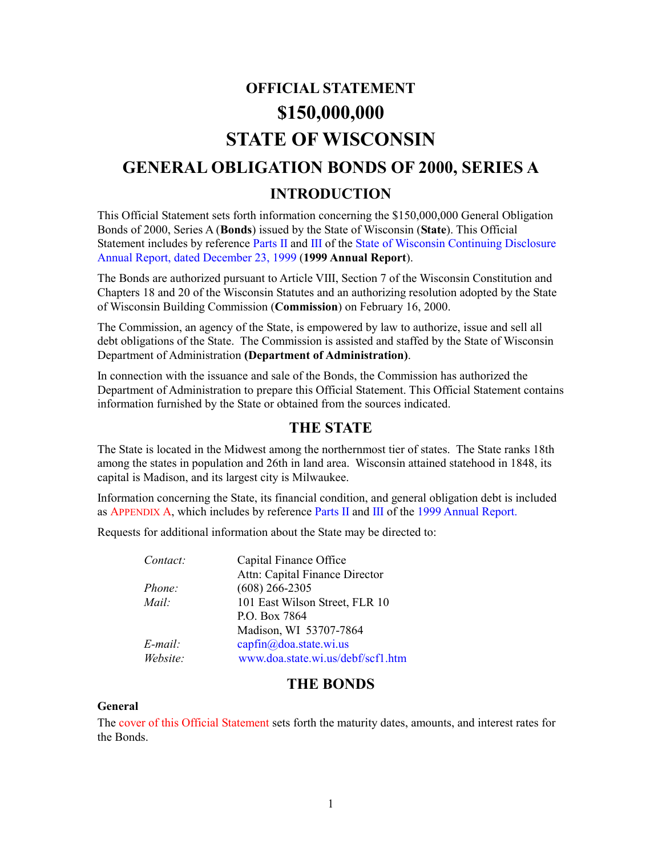# **OFFICIAL STATEMENT \$150,000,000 STATE OF WISCONSIN GENERAL OBLIGATION BONDS OF 2000, SERIES A INTRODUCTION**

<span id="page-4-0"></span>This Official Statement sets forth information concerning the \$150,000,000 General Obligation Bonds of 2000, Series A (**Bonds**) issued by the State of Wisconsin (**State**). This Official Statement includes by reference [Parts II](http://www.doa.state.wi.us/debf/capfin/annreport/99dis2.pdf) and [III o](http://www.doa.state.wi.us/debf/capfin/annreport/99dis3.pdf)f the State of Wisconsin [Continuing](http://www.doa.state.wi.us/debf/capfin/annreport/99condis.htm) Disclosure [Annual Report, dated December 23, 1999 \(](http://www.doa.state.wi.us/debf/capfin/annreport/99condis.htm)**1999 Annual Report**).

The Bonds are authorized pursuant to Article VIII, Section 7 of the Wisconsin Constitution and Chapters 18 and 20 of the Wisconsin Statutes and an authorizing resolution adopted by the State of Wisconsin Building Commission (**Commission**) on February 16, 2000.

The Commission, an agency of the State, is empowered by law to authorize, issue and sell all debt obligations of the State. The Commission is assisted and staffed by the State of Wisconsin Department of Administration **(Department of Administration)**.

In connection with the issuance and sale of the Bonds, the Commission has authorized the Department of Administration to prepare this Official Statement. This Official Statement contains information furnished by the State or obtained from the sources indicated.

## **THE STATE**

<span id="page-4-1"></span>The State is located in the Midwest among the northernmost tier of states. The State ranks 18th among the states in population and 26th in land area. Wisconsin attained statehood in 1848, its capital is Madison, and its largest city is Milwaukee.

Information concerning the State, its financial condition, and general obligation debt is included a[s APPENDIX](#page-15-1) A, which includes by referenc[e Parts II](http://www.doa.state.wi.us/debf/capfin/annreport/99dis2.pdf) and [III o](http://www.doa.state.wi.us/debf/capfin/annreport/99dis3.pdf)f the [1999 Annual](http://www.doa.state.wi.us/debf/capfin/annreport/99condis.htm) Report.

Requests for additional information about the State may be directed to:

| Contact:      | Capital Finance Office            |
|---------------|-----------------------------------|
|               | Attn: Capital Finance Director    |
| <i>Phone:</i> | $(608)$ 266-2305                  |
| Mail:         | 101 East Wilson Street, FLR 10    |
|               | P.O. Box 7864                     |
|               | Madison, WI 53707-7864            |
| E-mail:       | capfin@doa.state.wi.us            |
| Website:      | www.doa.state.wi.us/debf/scf1.htm |
|               |                                   |

## **THE BONDS**

#### **General**

Th[e cover of this Official Statement s](#page-0-0)ets forth the maturity dates, amounts, and interest rates for the Bonds.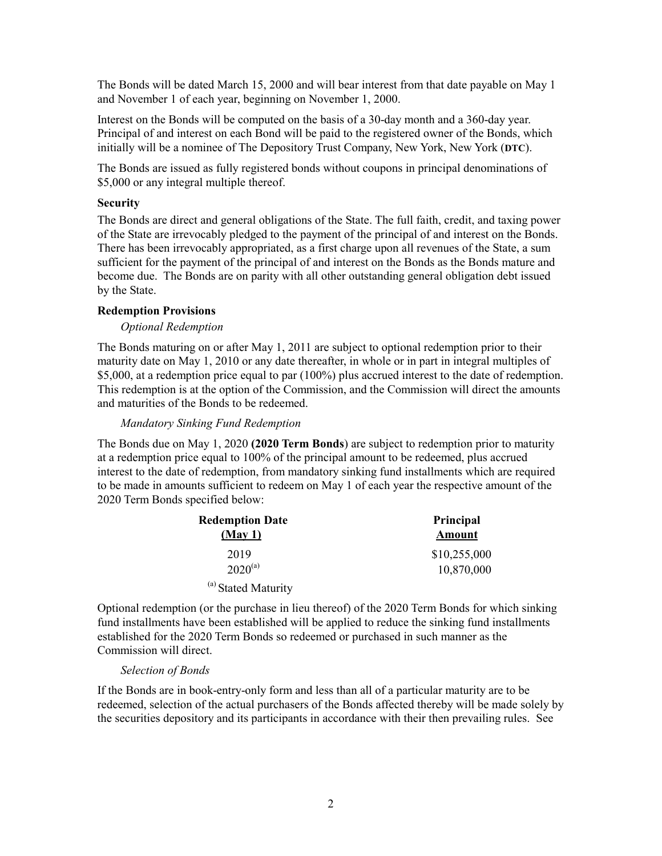<span id="page-5-2"></span>The Bonds will be dated March 15, 2000 and will bear interest from that date payable on May 1 and November 1 of each year, beginning on November 1, 2000.

Interest on the Bonds will be computed on the basis of a 30-day month and a 360-day year. Principal of and interest on each Bond will be paid to the registered owner of the Bonds, which initially will be a nominee of The Depository Trust Company, New York, New York (**DTC**).

The Bonds are issued as fully registered bonds without coupons in principal denominations of \$5,000 or any integral multiple thereof.

#### **Security**

<span id="page-5-3"></span><span id="page-5-1"></span>The Bonds are direct and general obligations of the State. The full faith, credit, and taxing power of the State are irrevocably pledged to the payment of the principal of and interest on the Bonds. There has been irrevocably appropriated, as a first charge upon all revenues of the State, a sum sufficient for the payment of the principal of and interest on the Bonds as the Bonds mature and become due. The Bonds are on parity with all other outstanding general obligation debt issued by the State.

#### <span id="page-5-0"></span>**Redemption Provisions**

#### *Optional Redemption*

The Bonds maturing on or after May 1, 2011 are subject to optional redemption prior to their maturity date on May 1, 2010 or any date thereafter, in whole or in part in integral multiples of \$5,000, at a redemption price equal to par (100%) plus accrued interest to the date of redemption. This redemption is at the option of the Commission, and the Commission will direct the amounts and maturities of the Bonds to be redeemed.

#### *Mandatory Sinking Fund Redemption*

<span id="page-5-4"></span>The Bonds due on May 1, 2020 **(2020 Term Bonds**) are subject to redemption prior to maturity at a redemption price equal to 100% of the principal amount to be redeemed, plus accrued interest to the date of redemption, from mandatory sinking fund installments which are required to be made in amounts sufficient to redeem on May 1 of each year the respective amount of the 2020 Term Bonds specified below:

| <b>Redemption Date</b>         | Principal     |
|--------------------------------|---------------|
| (May1)                         | <b>Amount</b> |
| 2019                           | \$10,255,000  |
| $2020^{(a)}$                   | 10,870,000    |
| <sup>(a)</sup> Stated Maturity |               |

Optional redemption (or the purchase in lieu thereof) of the 2020 Term Bonds for which sinking fund installments have been established will be applied to reduce the sinking fund installments established for the 2020 Term Bonds so redeemed or purchased in such manner as the Commission will direct.

#### *Selection of Bonds*

If the Bonds are in book-entry-only form and less than all of a particular maturity are to be redeemed, selection of the actual purchasers of the Bonds affected thereby will be made solely by the securities depository and its participants in accordance with their then prevailing rules. See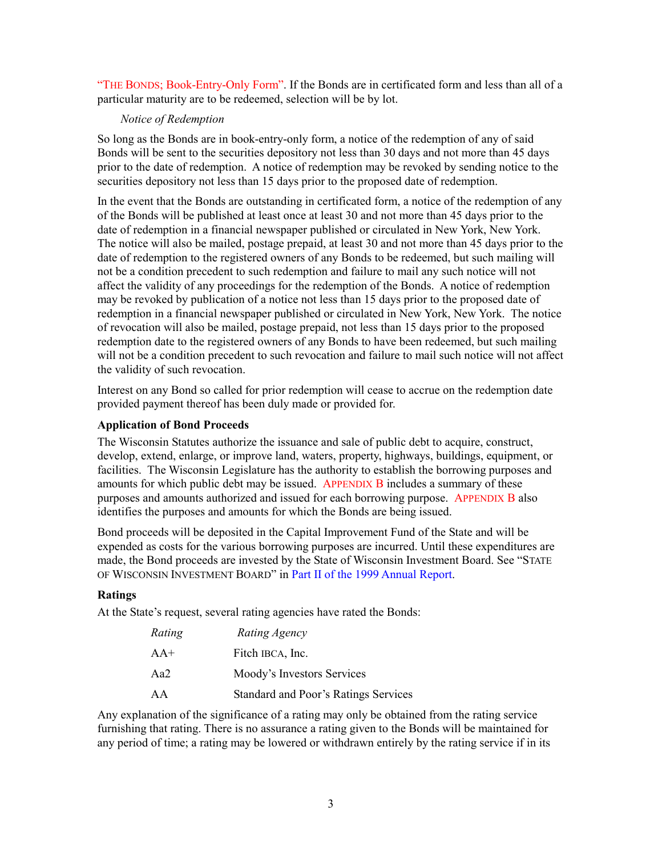["THE BONDS; Book-Entry-Only Form". If](#page-7-1) the Bonds are in certificated form and less than all of a particular maturity are to be redeemed, selection will be by lot.

#### *Notice of Redemption*

So long as the Bonds are in book-entry-only form, a notice of the redemption of any of said Bonds will be sent to the securities depository not less than 30 days and not more than 45 days prior to the date of redemption. A notice of redemption may be revoked by sending notice to the securities depository not less than 15 days prior to the proposed date of redemption.

In the event that the Bonds are outstanding in certificated form, a notice of the redemption of any of the Bonds will be published at least once at least 30 and not more than 45 days prior to the date of redemption in a financial newspaper published or circulated in New York, New York. The notice will also be mailed, postage prepaid, at least 30 and not more than 45 days prior to the date of redemption to the registered owners of any Bonds to be redeemed, but such mailing will not be a condition precedent to such redemption and failure to mail any such notice will not affect the validity of any proceedings for the redemption of the Bonds. A notice of redemption may be revoked by publication of a notice not less than 15 days prior to the proposed date of redemption in a financial newspaper published or circulated in New York, New York. The notice of revocation will also be mailed, postage prepaid, not less than 15 days prior to the proposed redemption date to the registered owners of any Bonds to have been redeemed, but such mailing will not be a condition precedent to such revocation and failure to mail such notice will not affect the validity of such revocation.

<span id="page-6-0"></span>Interest on any Bond so called for prior redemption will cease to accrue on the redemption date provided payment thereof has been duly made or provided for.

## **Application of Bond Proceeds**

The Wisconsin Statutes authorize the issuance and sale of public debt to acquire, construct, develop, extend, enlarge, or improve land, waters, property, highways, buildings, equipment, or facilities. The Wisconsin Legislature has the authority to establish the borrowing purposes and amounts for which public debt may be issued. [APPENDIX B in](#page-19-1)cludes a summary of these purposes and amounts authorized and issued for each borrowing purpose. [APPENDIX B a](#page-19-2)lso identifies the purposes and amounts for which the Bonds are being issued.

Bond proceeds will be deposited in the Capital Improvement Fund of the State and will be expended as costs for the various borrowing purposes are incurred. Until these expenditures are made, the Bond proceeds are invested by the State of Wisconsin Investment Board. See "STATE OF WISCONSIN INVESTMENT BOARD" in Part II of the 1999 [Annual Report.](http://www.doa.state.wi.us/debf/capfin/annreport/99dis2.pdf)

#### **Ratings**

At the State's request, several rating agencies have rated the Bonds:

| Rating | Rating Agency                        |
|--------|--------------------------------------|
| $AA+$  | Fitch IBCA, Inc.                     |
| Aa2    | Moody's Investors Services           |
| AA     | Standard and Poor's Ratings Services |

Any explanation of the significance of a rating may only be obtained from the rating service furnishing that rating. There is no assurance a rating given to the Bonds will be maintained for any period of time; a rating may be lowered or withdrawn entirely by the rating service if in its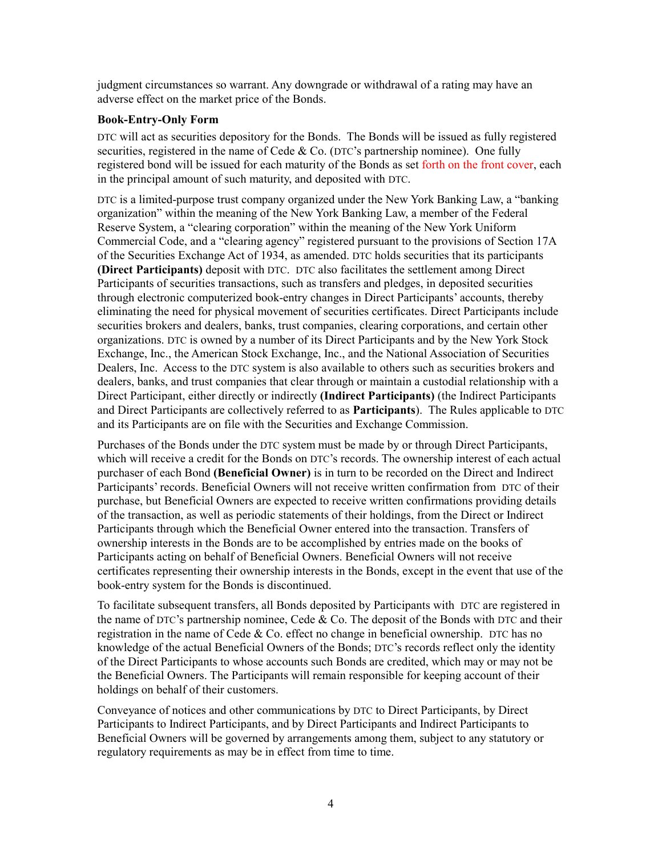<span id="page-7-1"></span><span id="page-7-0"></span>judgment circumstances so warrant. Any downgrade or withdrawal of a rating may have an adverse effect on the market price of the Bonds.

#### **Book-Entry-Only Form**

DTC will act as securities depository for the Bonds. The Bonds will be issued as fully registered securities, registered in the name of Cede  $& Co.$  (DTC's partnership nominee). One fully registered bond will be issued for each maturity of the Bonds as se[t forth on the front cover, e](#page-0-0)ach in the principal amount of such maturity, and deposited with DTC.

DTC is a limited-purpose trust company organized under the New York Banking Law, a "banking organization" within the meaning of the New York Banking Law, a member of the Federal Reserve System, a "clearing corporation" within the meaning of the New York Uniform Commercial Code, and a "clearing agency" registered pursuant to the provisions of Section 17A of the Securities Exchange Act of 1934, as amended. DTC holds securities that its participants **(Direct Participants)** deposit with DTC. DTC also facilitates the settlement among Direct Participants of securities transactions, such as transfers and pledges, in deposited securities through electronic computerized book-entry changes in Direct Participants' accounts, thereby eliminating the need for physical movement of securities certificates. Direct Participants include securities brokers and dealers, banks, trust companies, clearing corporations, and certain other organizations. DTC is owned by a number of its Direct Participants and by the New York Stock Exchange, Inc., the American Stock Exchange, Inc., and the National Association of Securities Dealers, Inc. Access to the DTC system is also available to others such as securities brokers and dealers, banks, and trust companies that clear through or maintain a custodial relationship with a Direct Participant, either directly or indirectly **(Indirect Participants)** (the Indirect Participants and Direct Participants are collectively referred to as **Participants**). The Rules applicable to DTC and its Participants are on file with the Securities and Exchange Commission.

Purchases of the Bonds under the DTC system must be made by or through Direct Participants, which will receive a credit for the Bonds on DTC's records. The ownership interest of each actual purchaser of each Bond **(Beneficial Owner)** is in turn to be recorded on the Direct and Indirect Participants' records. Beneficial Owners will not receive written confirmation from DTC of their purchase, but Beneficial Owners are expected to receive written confirmations providing details of the transaction, as well as periodic statements of their holdings, from the Direct or Indirect Participants through which the Beneficial Owner entered into the transaction. Transfers of ownership interests in the Bonds are to be accomplished by entries made on the books of Participants acting on behalf of Beneficial Owners. Beneficial Owners will not receive certificates representing their ownership interests in the Bonds, except in the event that use of the book-entry system for the Bonds is discontinued.

To facilitate subsequent transfers, all Bonds deposited by Participants with DTC are registered in the name of DTC's partnership nominee, Cede  $&$  Co. The deposit of the Bonds with DTC and their registration in the name of Cede  $&$  Co. effect no change in beneficial ownership. DTC has no knowledge of the actual Beneficial Owners of the Bonds; DTC's records reflect only the identity of the Direct Participants to whose accounts such Bonds are credited, which may or may not be the Beneficial Owners. The Participants will remain responsible for keeping account of their holdings on behalf of their customers.

Conveyance of notices and other communications by DTC to Direct Participants, by Direct Participants to Indirect Participants, and by Direct Participants and Indirect Participants to Beneficial Owners will be governed by arrangements among them, subject to any statutory or regulatory requirements as may be in effect from time to time.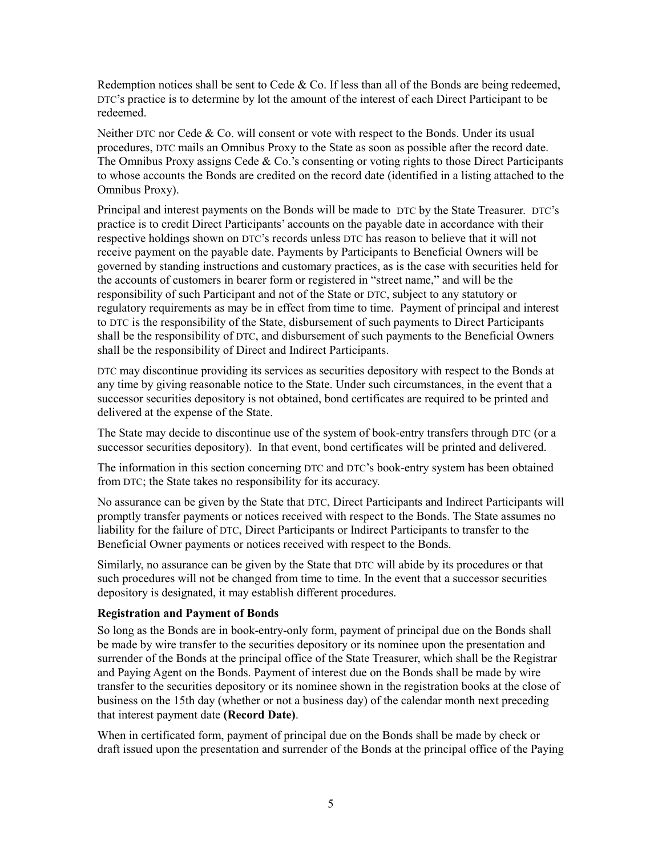Redemption notices shall be sent to Cede  $\&$  Co. If less than all of the Bonds are being redeemed, DTC's practice is to determine by lot the amount of the interest of each Direct Participant to be redeemed.

Neither DTC nor Cede & Co. will consent or vote with respect to the Bonds. Under its usual procedures, DTC mails an Omnibus Proxy to the State as soon as possible after the record date. The Omnibus Proxy assigns Cede  $& Co.'s$  consenting or voting rights to those Direct Participants to whose accounts the Bonds are credited on the record date (identified in a listing attached to the Omnibus Proxy).

Principal and interest payments on the Bonds will be made to DTC by the State Treasurer. DTC's practice is to credit Direct Participants' accounts on the payable date in accordance with their respective holdings shown on DTC's records unless DTC has reason to believe that it will not receive payment on the payable date. Payments by Participants to Beneficial Owners will be governed by standing instructions and customary practices, as is the case with securities held for the accounts of customers in bearer form or registered in "street name," and will be the responsibility of such Participant and not of the State or DTC, subject to any statutory or regulatory requirements as may be in effect from time to time. Payment of principal and interest to DTC is the responsibility of the State, disbursement of such payments to Direct Participants shall be the responsibility of DTC, and disbursement of such payments to the Beneficial Owners shall be the responsibility of Direct and Indirect Participants.

DTC may discontinue providing its services as securities depository with respect to the Bonds at any time by giving reasonable notice to the State. Under such circumstances, in the event that a successor securities depository is not obtained, bond certificates are required to be printed and delivered at the expense of the State.

The State may decide to discontinue use of the system of book-entry transfers through DTC (or a successor securities depository). In that event, bond certificates will be printed and delivered.

The information in this section concerning DTC and DTC's book-entry system has been obtained from DTC; the State takes no responsibility for its accuracy.

No assurance can be given by the State that DTC, Direct Participants and Indirect Participants will promptly transfer payments or notices received with respect to the Bonds. The State assumes no liability for the failure of DTC, Direct Participants or Indirect Participants to transfer to the Beneficial Owner payments or notices received with respect to the Bonds.

Similarly, no assurance can be given by the State that DTC will abide by its procedures or that such procedures will not be changed from time to time. In the event that a successor securities depository is designated, it may establish different procedures.

#### **Registration and Payment of Bonds**

So long as the Bonds are in book-entry-only form, payment of principal due on the Bonds shall be made by wire transfer to the securities depository or its nominee upon the presentation and surrender of the Bonds at the principal office of the State Treasurer, which shall be the Registrar and Paying Agent on the Bonds. Payment of interest due on the Bonds shall be made by wire transfer to the securities depository or its nominee shown in the registration books at the close of business on the 15th day (whether or not a business day) of the calendar month next preceding that interest payment date **(Record Date)**.

When in certificated form, payment of principal due on the Bonds shall be made by check or draft issued upon the presentation and surrender of the Bonds at the principal office of the Paying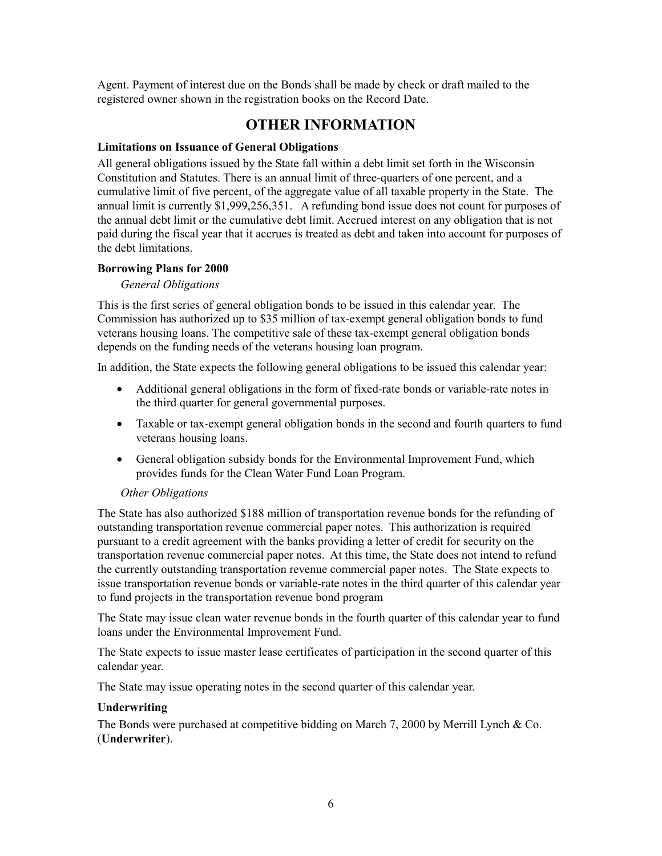<span id="page-9-0"></span>Agent. Payment of interest due on the Bonds shall be made by check or draft mailed to the registered owner shown in the registration books on the Record Date.

# **OTHER INFORMATION**

## **Limitations on Issuance of General Obligations**

All general obligations issued by the State fall within a debt limit set forth in the Wisconsin Constitution and Statutes. There is an annual limit of three-quarters of one percent, and a cumulative limit of five percent, of the aggregate value of all taxable property in the State. The annual limit is currently \$1,999,256,351. A refunding bond issue does not count for purposes of the annual debt limit or the cumulative debt limit. Accrued interest on any obligation that is not paid during the fiscal year that it accrues is treated as debt and taken into account for purposes of the debt limitations.

### **Borrowing Plans for 2000**

### *General Obligations*

This is the first series of general obligation bonds to be issued in this calendar year. The Commission has authorized up to \$35 million of tax-exempt general obligation bonds to fund veterans housing loans. The competitive sale of these tax-exempt general obligation bonds depends on the funding needs of the veterans housing loan program.

In addition, the State expects the following general obligations to be issued this calendar year:

- Additional general obligations in the form of fixed-rate bonds or variable-rate notes in the third quarter for general governmental purposes.
- Taxable or tax-exempt general obligation bonds in the second and fourth quarters to fund veterans housing loans.
- General obligation subsidy bonds for the Environmental Improvement Fund, which provides funds for the Clean Water Fund Loan Program.

#### *Other Obligations*

The State has also authorized \$188 million of transportation revenue bonds for the refunding of outstanding transportation revenue commercial paper notes. This authorization is required pursuant to a credit agreement with the banks providing a letter of credit for security on the transportation revenue commercial paper notes. At this time, the State does not intend to refund the currently outstanding transportation revenue commercial paper notes. The State expects to issue transportation revenue bonds or variable-rate notes in the third quarter of this calendar year to fund projects in the transportation revenue bond program

The State may issue clean water revenue bonds in the fourth quarter of this calendar year to fund loans under the Environmental Improvement Fund.

The State expects to issue master lease certificates of participation in the second quarter of this calendar year.

The State may issue operating notes in the second quarter of this calendar year.

#### **Underwriting**

The Bonds were purchased at competitive bidding on March 7, 2000 by Merrill Lynch & Co. (**Underwriter**).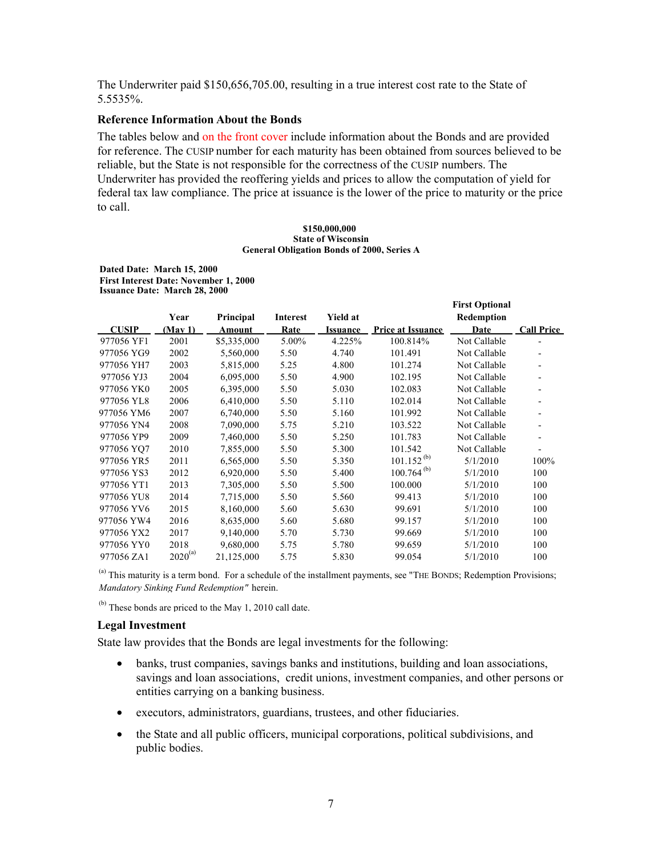The Underwriter paid \$150,656,705.00, resulting in a true interest cost rate to the State of 5.5535%.

#### **Reference Information About the Bonds**

The tables below an[d on the front cover in](#page-0-0)clude information about the Bonds and are provided for reference. The CUSIP number for each maturity has been obtained from sources believed to be reliable, but the State is not responsible for the correctness of the CUSIP numbers. The Underwriter has provided the reoffering yields and prices to allow the computation of yield for federal tax law compliance. The price at issuance is the lower of the price to maturity or the price to call.

#### **\$150,000,000 State of Wisconsin General Obligation Bonds of 2000, Series A**

**First Optional** 

**Dated Date: March 15, 2000 First Interest Date: November 1, 2000 Issuance Date: March 28, 2000**

|              | Year         | Principal   | Interest | <b>Yield at</b> |                          | Redemption   |                   |
|--------------|--------------|-------------|----------|-----------------|--------------------------|--------------|-------------------|
| <b>CUSIP</b> | (May 1)      | Amount      | Rate     | <b>Issuance</b> | <b>Price at Issuance</b> | Date         | <b>Call Price</b> |
| 977056 YF1   | 2001         | \$5,335,000 | 5.00%    | 4.225%          | 100.814%                 | Not Callable |                   |
| 977056 YG9   | 2002         | 5,560,000   | 5.50     | 4.740           | 101.491                  | Not Callable |                   |
| 977056 YH7   | 2003         | 5,815,000   | 5.25     | 4.800           | 101.274                  | Not Callable |                   |
| 977056 YJ3   | 2004         | 6,095,000   | 5.50     | 4.900           | 102.195                  | Not Callable |                   |
| 977056 YK0   | 2005         | 6,395,000   | 5.50     | 5.030           | 102.083                  | Not Callable |                   |
| 977056 YL8   | 2006         | 6,410,000   | 5.50     | 5.110           | 102.014                  | Not Callable |                   |
| 977056 YM6   | 2007         | 6,740,000   | 5.50     | 5.160           | 101.992                  | Not Callable |                   |
| 977056 YN4   | 2008         | 7,090,000   | 5.75     | 5.210           | 103.522                  | Not Callable |                   |
| 977056 YP9   | 2009         | 7,460,000   | 5.50     | 5.250           | 101.783                  | Not Callable |                   |
| 977056 YO7   | 2010         | 7,855,000   | 5.50     | 5.300           | 101.542                  | Not Callable |                   |
| 977056 YR5   | 2011         | 6,565,000   | 5.50     | 5.350           | $101.152^{(b)}$          | 5/1/2010     | 100%              |
| 977056 YS3   | 2012         | 6,920,000   | 5.50     | 5.400           | $100.764^{(b)}$          | 5/1/2010     | 100               |
| 977056 YT1   | 2013         | 7,305,000   | 5.50     | 5.500           | 100.000                  | 5/1/2010     | 100               |
| 977056 YU8   | 2014         | 7,715,000   | 5.50     | 5.560           | 99.413                   | 5/1/2010     | 100               |
| 977056 YV6   | 2015         | 8,160,000   | 5.60     | 5.630           | 99.691                   | 5/1/2010     | 100               |
| 977056 YW4   | 2016         | 8,635,000   | 5.60     | 5.680           | 99.157                   | 5/1/2010     | 100               |
| 977056 YX2   | 2017         | 9,140,000   | 5.70     | 5.730           | 99.669                   | 5/1/2010     | 100               |
| 977056 YY0   | 2018         | 9,680,000   | 5.75     | 5.780           | 99.659                   | 5/1/2010     | 100               |
| 977056 ZA1   | $2020^{(a)}$ | 21,125,000  | 5.75     | 5.830           | 99.054                   | 5/1/2010     | 100               |

 $<sup>(a)</sup>$  This maturity is a term bond. For a schedule of the installment payments, see "THE BONDS; Redemption Provisions;</sup> *Mandatory Sinking Fund Redemption"* herein.

 $(b)$  These bonds are priced to the May 1, 2010 call date.

#### **Legal Investment**

State law provides that the Bonds are legal investments for the following:

- banks, trust companies, savings banks and institutions, building and loan associations, savings and loan associations, credit unions, investment companies, and other persons or entities carrying on a banking business.
- executors, administrators, guardians, trustees, and other fiduciaries.
- the State and all public officers, municipal corporations, political subdivisions, and public bodies.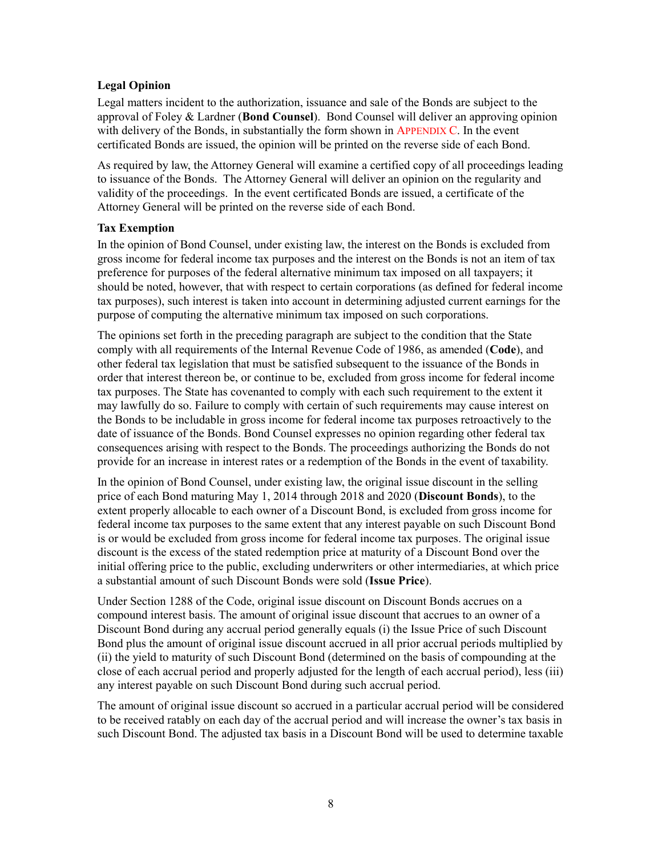#### **Legal Opinion**

Legal matters incident to the authorization, issuance and sale of the Bonds are subject to the approval of Foley & Lardner (**Bond Counsel**). Bond Counsel will deliver an approving opinion with delivery of the Bonds, in substantially the form shown in [APPENDIX C. In](#page-23-1) the event certificated Bonds are issued, the opinion will be printed on the reverse side of each Bond.

<span id="page-11-2"></span><span id="page-11-1"></span>As required by law, the Attorney General will examine a certified copy of all proceedings leading to issuance of the Bonds. The Attorney General will deliver an opinion on the regularity and validity of the proceedings. In the event certificated Bonds are issued, a certificate of the Attorney General will be printed on the reverse side of each Bond.

### <span id="page-11-3"></span><span id="page-11-0"></span>**Tax Exemption**

In the opinion of Bond Counsel, under existing law, the interest on the Bonds is excluded from gross income for federal income tax purposes and the interest on the Bonds is not an item of tax preference for purposes of the federal alternative minimum tax imposed on all taxpayers; it should be noted, however, that with respect to certain corporations (as defined for federal income tax purposes), such interest is taken into account in determining adjusted current earnings for the purpose of computing the alternative minimum tax imposed on such corporations.

The opinions set forth in the preceding paragraph are subject to the condition that the State comply with all requirements of the Internal Revenue Code of 1986, as amended (**Code**), and other federal tax legislation that must be satisfied subsequent to the issuance of the Bonds in order that interest thereon be, or continue to be, excluded from gross income for federal income tax purposes. The State has covenanted to comply with each such requirement to the extent it may lawfully do so. Failure to comply with certain of such requirements may cause interest on the Bonds to be includable in gross income for federal income tax purposes retroactively to the date of issuance of the Bonds. Bond Counsel expresses no opinion regarding other federal tax consequences arising with respect to the Bonds. The proceedings authorizing the Bonds do not provide for an increase in interest rates or a redemption of the Bonds in the event of taxability.

In the opinion of Bond Counsel, under existing law, the original issue discount in the selling price of each Bond maturing May 1, 2014 through 2018 and 2020 (**Discount Bonds**), to the extent properly allocable to each owner of a Discount Bond, is excluded from gross income for federal income tax purposes to the same extent that any interest payable on such Discount Bond is or would be excluded from gross income for federal income tax purposes. The original issue discount is the excess of the stated redemption price at maturity of a Discount Bond over the initial offering price to the public, excluding underwriters or other intermediaries, at which price a substantial amount of such Discount Bonds were sold (**Issue Price**).

Under Section 1288 of the Code, original issue discount on Discount Bonds accrues on a compound interest basis. The amount of original issue discount that accrues to an owner of a Discount Bond during any accrual period generally equals (i) the Issue Price of such Discount Bond plus the amount of original issue discount accrued in all prior accrual periods multiplied by (ii) the yield to maturity of such Discount Bond (determined on the basis of compounding at the close of each accrual period and properly adjusted for the length of each accrual period), less (iii) any interest payable on such Discount Bond during such accrual period.

The amount of original issue discount so accrued in a particular accrual period will be considered to be received ratably on each day of the accrual period and will increase the owner's tax basis in such Discount Bond. The adjusted tax basis in a Discount Bond will be used to determine taxable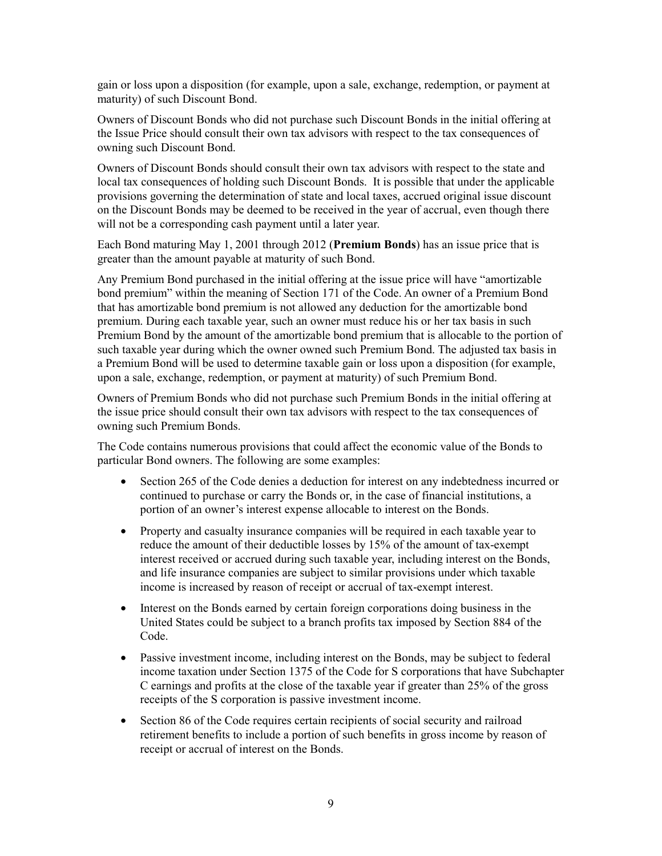gain or loss upon a disposition (for example, upon a sale, exchange, redemption, or payment at maturity) of such Discount Bond.

Owners of Discount Bonds who did not purchase such Discount Bonds in the initial offering at the Issue Price should consult their own tax advisors with respect to the tax consequences of owning such Discount Bond.

Owners of Discount Bonds should consult their own tax advisors with respect to the state and local tax consequences of holding such Discount Bonds. It is possible that under the applicable provisions governing the determination of state and local taxes, accrued original issue discount on the Discount Bonds may be deemed to be received in the year of accrual, even though there will not be a corresponding cash payment until a later year.

Each Bond maturing May 1, 2001 through 2012 (**Premium Bonds**) has an issue price that is greater than the amount payable at maturity of such Bond.

Any Premium Bond purchased in the initial offering at the issue price will have "amortizable bond premium" within the meaning of Section 171 of the Code. An owner of a Premium Bond that has amortizable bond premium is not allowed any deduction for the amortizable bond premium. During each taxable year, such an owner must reduce his or her tax basis in such Premium Bond by the amount of the amortizable bond premium that is allocable to the portion of such taxable year during which the owner owned such Premium Bond. The adjusted tax basis in a Premium Bond will be used to determine taxable gain or loss upon a disposition (for example, upon a sale, exchange, redemption, or payment at maturity) of such Premium Bond.

Owners of Premium Bonds who did not purchase such Premium Bonds in the initial offering at the issue price should consult their own tax advisors with respect to the tax consequences of owning such Premium Bonds.

The Code contains numerous provisions that could affect the economic value of the Bonds to particular Bond owners. The following are some examples:

- Section 265 of the Code denies a deduction for interest on any indebtedness incurred or continued to purchase or carry the Bonds or, in the case of financial institutions, a portion of an owner's interest expense allocable to interest on the Bonds.
- Property and casualty insurance companies will be required in each taxable year to reduce the amount of their deductible losses by 15% of the amount of tax-exempt interest received or accrued during such taxable year, including interest on the Bonds, and life insurance companies are subject to similar provisions under which taxable income is increased by reason of receipt or accrual of tax-exempt interest.
- Interest on the Bonds earned by certain foreign corporations doing business in the United States could be subject to a branch profits tax imposed by Section 884 of the Code.
- Passive investment income, including interest on the Bonds, may be subject to federal income taxation under Section 1375 of the Code for S corporations that have Subchapter C earnings and profits at the close of the taxable year if greater than 25% of the gross receipts of the S corporation is passive investment income.
- Section 86 of the Code requires certain recipients of social security and railroad retirement benefits to include a portion of such benefits in gross income by reason of receipt or accrual of interest on the Bonds.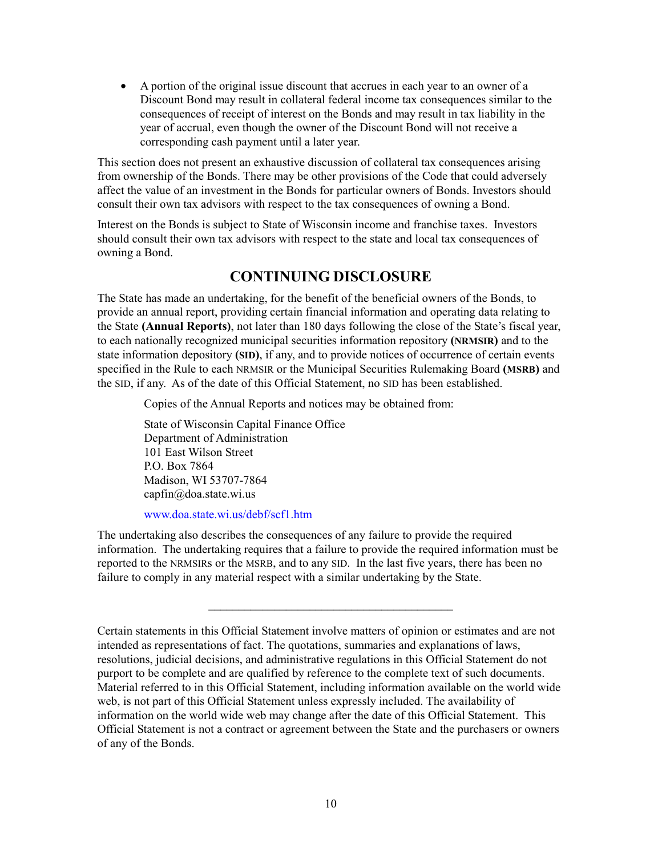• A portion of the original issue discount that accrues in each year to an owner of a Discount Bond may result in collateral federal income tax consequences similar to the consequences of receipt of interest on the Bonds and may result in tax liability in the year of accrual, even though the owner of the Discount Bond will not receive a corresponding cash payment until a later year.

This section does not present an exhaustive discussion of collateral tax consequences arising from ownership of the Bonds. There may be other provisions of the Code that could adversely affect the value of an investment in the Bonds for particular owners of Bonds. Investors should consult their own tax advisors with respect to the tax consequences of owning a Bond.

<span id="page-13-0"></span>Interest on the Bonds is subject to State of Wisconsin income and franchise taxes. Investors should consult their own tax advisors with respect to the state and local tax consequences of owning a Bond.

## **CONTINUING DISCLOSURE**

The State has made an undertaking, for the benefit of the beneficial owners of the Bonds, to provide an annual report, providing certain financial information and operating data relating to the State **(Annual Reports)**, not later than 180 days following the close of the State's fiscal year, to each nationally recognized municipal securities information repository **(NRMSIR)** and to the state information depository **(SID)**, if any, and to provide notices of occurrence of certain events specified in the Rule to each NRMSIR or the Municipal Securities Rulemaking Board **(MSRB)** and the SID, if any. As of the date of this Official Statement, no SID has been established.

Copies of the Annual Reports and notices may be obtained from:

State of Wisconsin Capital Finance Office Department of Administration 101 East Wilson Street P.O. Box 7864 Madison, WI 53707-7864 capfin@doa.state.wi.us

[www.doa.state.wi.us/debf/scf1.htm](http://www.doa.state.wi.us/debf/scf1.htm)

The undertaking also describes the consequences of any failure to provide the required information. The undertaking requires that a failure to provide the required information must be reported to the NRMSIRs or the MSRB, and to any SID. In the last five years, there has been no failure to comply in any material respect with a similar undertaking by the State.

\_\_\_\_\_\_\_\_\_\_\_\_\_\_\_\_\_\_\_\_\_\_\_\_\_\_\_\_\_\_\_\_\_\_\_\_\_\_\_\_\_

Certain statements in this Official Statement involve matters of opinion or estimates and are not intended as representations of fact. The quotations, summaries and explanations of laws, resolutions, judicial decisions, and administrative regulations in this Official Statement do not purport to be complete and are qualified by reference to the complete text of such documents. Material referred to in this Official Statement, including information available on the world wide web, is not part of this Official Statement unless expressly included. The availability of information on the world wide web may change after the date of this Official Statement. This Official Statement is not a contract or agreement between the State and the purchasers or owners of any of the Bonds.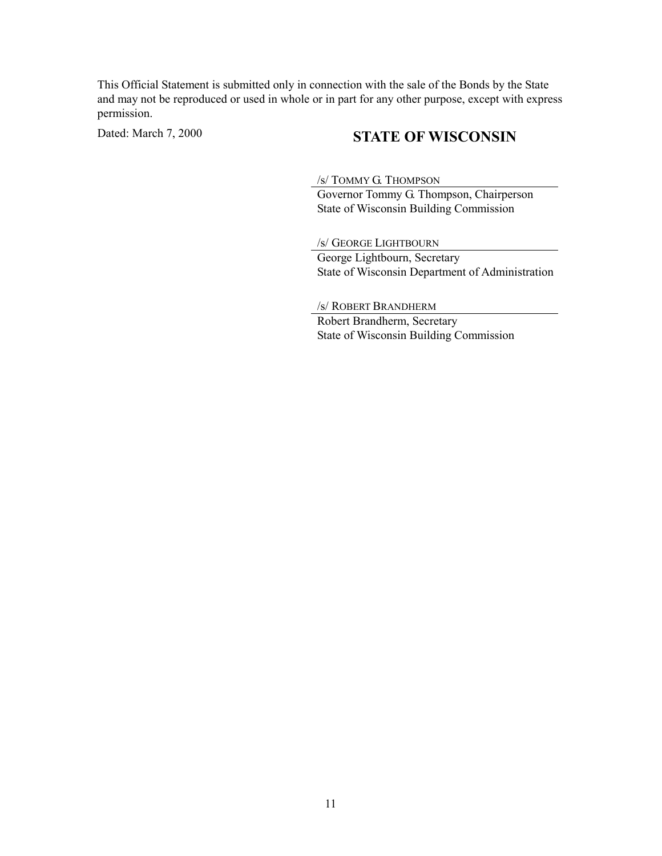This Official Statement is submitted only in connection with the sale of the Bonds by the State and may not be reproduced or used in whole or in part for any other purpose, except with express permission.

# Dated: March 7, 2000 **STATE OF WISCONSIN**

/s/ TOMMY G. THOMPSON

Governor Tommy G. Thompson, Chairperson State of Wisconsin Building Commission

/s/ GEORGE LIGHTBOURN

George Lightbourn, Secretary State of Wisconsin Department of Administration

/s/ ROBERT BRANDHERM

Robert Brandherm, Secretary State of Wisconsin Building Commission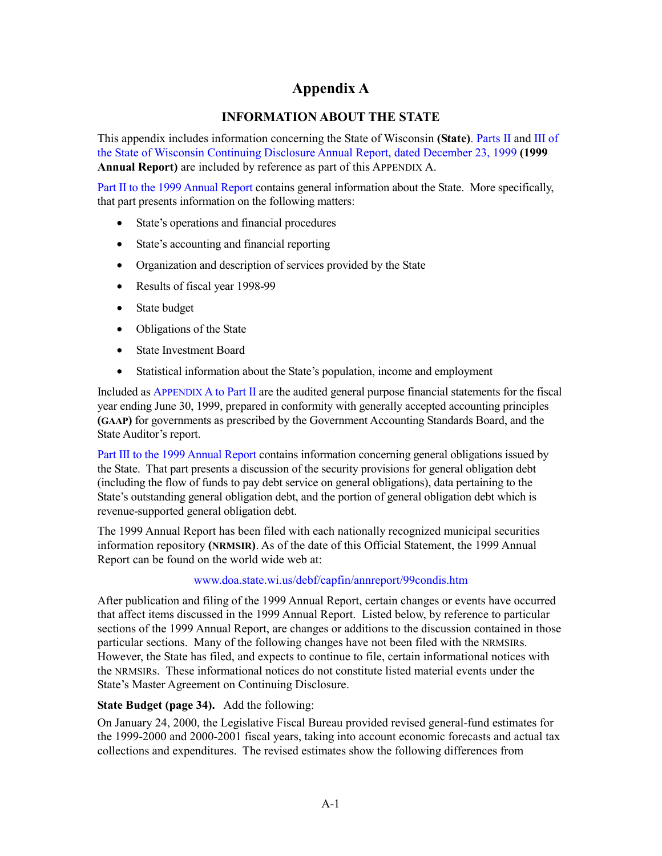# **Appendix A**

## **INFORMATION ABOUT THE STATE**

<span id="page-15-1"></span><span id="page-15-0"></span>This appendix includes information concerning the State of Wisconsin **(State)**. [Parts](http://www.doa.state.wi.us/debf/capfin/annreport/99dis2.pdf) II and [III of](http://www.doa.state.wi.us/debf/capfin/annreport/99dis3.pdf) [the State of Wisconsin Continuing Disclosure Annual Report, dated December 23, 1999](http://www.doa.state.wi.us/debf/capfin/annreport/99condis.htm) **(1999 Annual Report)** are included by reference as part of this APPENDIX A.

[Part II to the 1999 Annual Report c](http://www.doa.state.wi.us/debf/capfin/annreport/99dis2.pdf)ontains general information about the State. More specifically, that part presents information on the following matters:

- State's operations and financial procedures
- State's accounting and financial reporting
- Organization and description of services provided by the State
- Results of fiscal year 1998-99
- State budget
- Obligations of the State
- State Investment Board
- Statistical information about the State's population, income and employment

Included as [APPENDIX A to Part II ar](http://www.doa.state.wi.us/debf/cafr/fy99/99wigpfs.pdf)e the audited general purpose financial statements for the fiscal year ending June 30, 1999, prepared in conformity with generally accepted accounting principles **(GAAP)** for governments as prescribed by the Government Accounting Standards Board, and the State Auditor's report.

[Part III to the 1999 Annual Report co](http://www.doa.state.wi.us/debf/capfin/annreport/99dis3.pdf)ntains information concerning general obligations issued by the State. That part presents a discussion of the security provisions for general obligation debt (including the flow of funds to pay debt service on general obligations), data pertaining to the State's outstanding general obligation debt, and the portion of general obligation debt which is revenue-supported general obligation debt.

The 1999 Annual Report has been filed with each nationally recognized municipal securities information repository **(NRMSIR)**. As of the date of this Official Statement, the 1999 Annual Report can be found on the world wide web at:

## [www.doa.state.wi.us/debf/capfin/annreport/99condis.htm](http://www.doa.state.wi.us/debf/capfin/annreport/99condis.htm)

After publication and filing of the 1999 Annual Report, certain changes or events have occurred that affect items discussed in the 1999 Annual Report. Listed below, by reference to particular sections of the 1999 Annual Report, are changes or additions to the discussion contained in those particular sections. Many of the following changes have not been filed with the NRMSIRs. However, the State has filed, and expects to continue to file, certain informational notices with the NRMSIRs. These informational notices do not constitute listed material events under the State's Master Agreement on Continuing Disclosure.

## **State Budget (page 34).** Add the following:

On January 24, 2000, the Legislative Fiscal Bureau provided revised general-fund estimates for the 1999-2000 and 2000-2001 fiscal years, taking into account economic forecasts and actual tax collections and expenditures. The revised estimates show the following differences from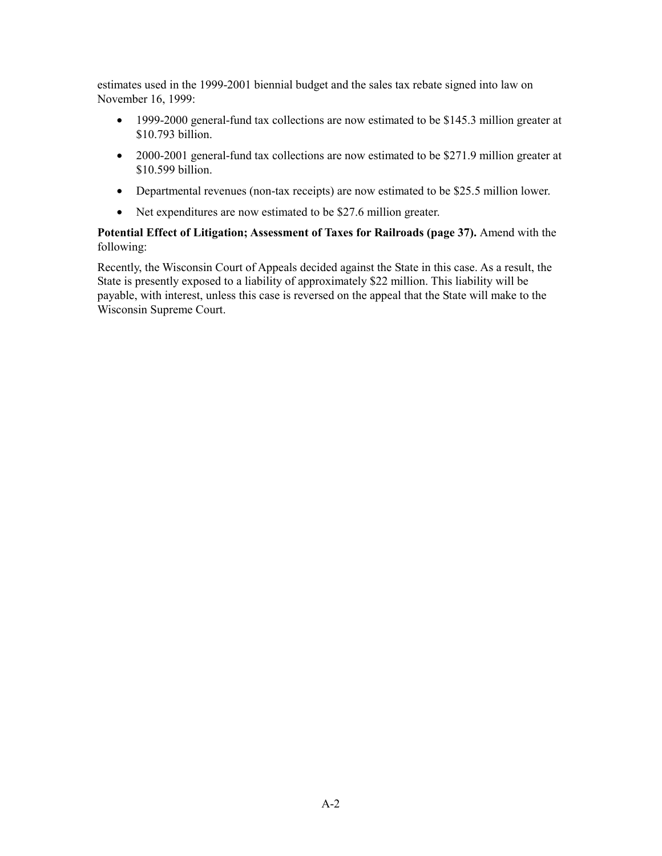estimates used in the 1999-2001 biennial budget and the sales tax rebate signed into law on November 16, 1999:

- 1999-2000 general-fund tax collections are now estimated to be \$145.3 million greater at \$10.793 billion.
- 2000-2001 general-fund tax collections are now estimated to be \$271.9 million greater at \$10.599 billion.
- Departmental revenues (non-tax receipts) are now estimated to be \$25.5 million lower.
- Net expenditures are now estimated to be \$27.6 million greater.

### **Potential Effect of Litigation; Assessment of Taxes for Railroads (page 37).** Amend with the following:

Recently, the Wisconsin Court of Appeals decided against the State in this case. As a result, the State is presently exposed to a liability of approximately \$22 million. This liability will be payable, with interest, unless this case is reversed on the appeal that the State will make to the Wisconsin Supreme Court.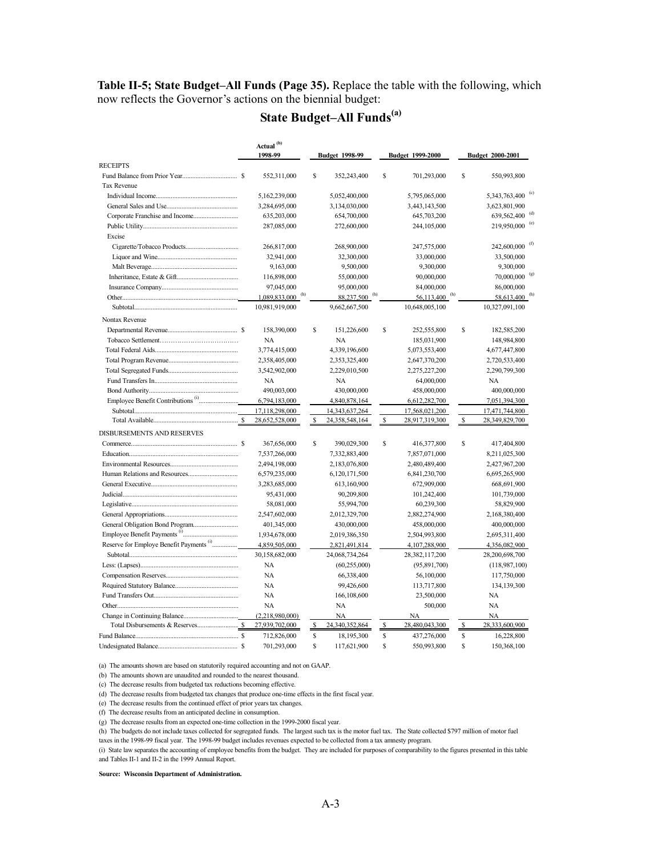**Table II-5; State Budget–All Funds (Page 35).** Replace the table with the following, which now reflects the Governor's actions on the biennial budget:

# **State Budget–All Funds(a)**

|                                                     |               | Actual <sup>(b)</sup><br>1998-99 |    | <b>Budget 1998-99</b>     |    | Budget 1999-2000            |             | Budget 2000-2001          |                            |
|-----------------------------------------------------|---------------|----------------------------------|----|---------------------------|----|-----------------------------|-------------|---------------------------|----------------------------|
| <b>RECEIPTS</b>                                     |               |                                  |    |                           |    |                             |             |                           |                            |
|                                                     |               | 552,311,000                      | S  | 352,243,400               | S  | 701,293,000                 | S           | 550,993,800               |                            |
| <b>Tax Revenue</b>                                  |               |                                  |    |                           |    |                             |             |                           |                            |
|                                                     |               | 5,162,239,000                    |    | 5,052,400,000             |    | 5,795,065,000               |             | 5,343,763,400             | $\left( \mathrm{c}\right)$ |
|                                                     |               | 3,284,695,000                    |    | 3,134,030,000             |    | 3,443,143,500               |             | 3,623,801,900             |                            |
|                                                     |               | 635,203,000                      |    | 654,700,000               |    | 645,703,200                 |             | 639,562,400               |                            |
|                                                     |               | 287,085,000                      |    | 272,600,000               |    | 244,105,000                 |             | 219,950,000               | (e)                        |
| Excise                                              |               |                                  |    |                           |    |                             |             |                           |                            |
|                                                     |               | 266,817,000                      |    | 268,900,000               |    | 247,575,000                 |             | 242,600,000               |                            |
|                                                     |               | 32,941,000                       |    | 32,300,000                |    | 33,000,000                  |             | 33,500,000                |                            |
|                                                     |               | 9,163,000                        |    | 9,500,000                 |    | 9,300,000                   |             | 9,300,000                 |                            |
|                                                     |               | 116,898,000                      |    | 55,000,000                |    | 90,000,000                  |             | 70,000,000                |                            |
|                                                     |               | 97,045,000                       |    | 95,000,000                |    | 84,000,000                  |             | 86,000,000                |                            |
|                                                     |               | 1,089,833,000 (h)                |    | 88,237,500 <sup>(h)</sup> |    | $56,113,400$ <sup>(h)</sup> |             | 58,613,400 <sup>(h)</sup> |                            |
|                                                     |               | 10,981,919,000                   |    | 9,662,667,500             |    | 10,648,005,100              |             | 10,327,091,100            |                            |
| Nontax Revenue                                      |               |                                  |    |                           |    |                             |             |                           |                            |
|                                                     |               | 158,390,000                      | \$ | 151,226,600               | \$ | 252,555,800                 | \$          | 182,585,200               |                            |
|                                                     |               | NA                               |    | NA                        |    | 185,031,900                 |             | 148,984,800               |                            |
|                                                     |               | 3,774,415,000                    |    | 4,339,196,600             |    | 5,073,553,400               |             | 4,677,447,800             |                            |
|                                                     |               | 2,358,405,000                    |    | 2,353,325,400             |    | 2,647,370,200               |             | 2,720,533,400             |                            |
|                                                     |               | 3,542,902,000                    |    | 2,229,010,500             |    | 2,275,227,200               |             | 2,290,799,300             |                            |
|                                                     |               | NA                               |    | NA                        |    | 64,000,000                  |             | NA                        |                            |
|                                                     |               | 490,003,000                      |    | 430,000,000               |    | 458,000,000                 |             | 400,000,000               |                            |
|                                                     |               | 6,794,183,000                    |    | 4,840,878,164             |    | 6,612,282,700               |             | 7,051,394,300             |                            |
|                                                     |               | 17,118,298,000                   |    | 14, 343, 637, 264         |    | 17,568,021,200              |             | 17,471,744,800            |                            |
|                                                     |               | 28,652,528,000                   |    | 24,358,548,164            | \$ | 28,917,319,300              | S           | 28,349,829,700            |                            |
|                                                     |               |                                  |    |                           |    |                             |             |                           |                            |
| DISBURSEMENTS AND RESERVES                          |               |                                  |    |                           |    |                             |             |                           |                            |
|                                                     |               | 367,656,000                      | S  | 390,029,300               | \$ | 416,377,800                 | S           | 417,404,800               |                            |
|                                                     |               | 7,537,266,000                    |    | 7,332,883,400             |    | 7,857,071,000               |             | 8,211,025,300             |                            |
|                                                     |               | 2,494,198,000                    |    | 2,183,076,800             |    | 2,480,489,400               |             | 2,427,967,200             |                            |
|                                                     |               | 6,579,235,000                    |    | 6,120,171,500             |    | 6,841,230,700               |             | 6,695,265,900             |                            |
|                                                     |               | 3,283,685,000                    |    | 613,160,900               |    | 672,909,000                 |             | 668,691,900               |                            |
|                                                     |               | 95,431,000                       |    | 90,209,800                |    | 101,242,400                 |             | 101,739,000               |                            |
|                                                     |               | 58,081,000                       |    | 55,994,700                |    | 60,239,300                  |             | 58,829,900                |                            |
|                                                     |               | 2,547,602,000                    |    | 2,012,329,700             |    | 2,882,274,900               |             | 2,168,380,400             |                            |
|                                                     |               | 401,345,000                      |    | 430,000,000               |    | 458,000,000                 |             | 400,000,000               |                            |
|                                                     |               | 1,934,678,000                    |    | 2,019,386,350             |    | 2,504,993,800               |             | 2,695,311,400             |                            |
| Reserve for Employe Benefit Payments <sup>(1)</sup> |               | 4,859,505,000                    |    | 2,821,491,814             |    | 4, 107, 288, 900            |             | 4,356,082,900             |                            |
|                                                     |               | 30,158,682,000                   |    | 24,068,734,264            |    | 28,382,117,200              |             | 28,200,698,700            |                            |
|                                                     |               | <b>NA</b>                        |    | (60, 255, 000)            |    | (95, 891, 700)              |             | (118, 987, 100)           |                            |
|                                                     |               | NA                               |    | 66,338,400                |    | 56,100,000                  |             | 117,750,000               |                            |
|                                                     |               | NA                               |    | 99,426,600                |    | 113,717,800                 |             | 134,139,300               |                            |
|                                                     |               | NA                               |    | 166,108,600               |    | 23,500,000                  |             | NA                        |                            |
|                                                     |               | <b>NA</b>                        |    | NA                        |    | 500,000                     |             | NA                        |                            |
|                                                     |               | (2,218,980,000)                  |    | <b>NA</b>                 |    | <b>NA</b>                   |             | <b>NA</b>                 |                            |
|                                                     |               | 27,939,702,000                   | S  | 24,340,352,864            | \$ | 28,480,043,300              | $\mathbb S$ | 28,333,600,900            |                            |
|                                                     |               | 712,826,000                      | S  | 18,195,300                | \$ | 437,276,000                 | S           | 16,228,800                |                            |
|                                                     | $\mathcal{S}$ | 701,293,000                      | S  | 117,621,900               | \$ | 550,993,800                 | S           | 150,368,100               |                            |

(a) The amounts shown are based on statutorily required accounting and not on GAAP.

(b) The amounts shown are unaudited and rounded to the nearest thousand.

(c) The decrease results from budgeted tax reductions becoming effective.

(d) The decrease results from budgeted tax changes that produce one-time effects in the first fiscal year.

(e) The decrease results from the continued effect of prior years tax changes.

(f) The decrease results from an anticipated decline in consumption.

(g) The decrease results from an expected one-time collection in the 1999-2000 fiscal year.

(h) The budgets do not include taxes collected for segregated funds. The largest such tax is the motor fuel tax. The State collected \$797 million of motor fuel taxes in the 1998-99 fiscal year. The 1998-99 budget includes revenues expected to be collected from a tax amnesty program.

(i) State law separates the accounting of employee benefits from the budget. They are included for purposes of comparability to the figures presented in this table and Tables II-1 and II-2 in the 1999 Annual Report.

**Source: Wisconsin Department of Administration.**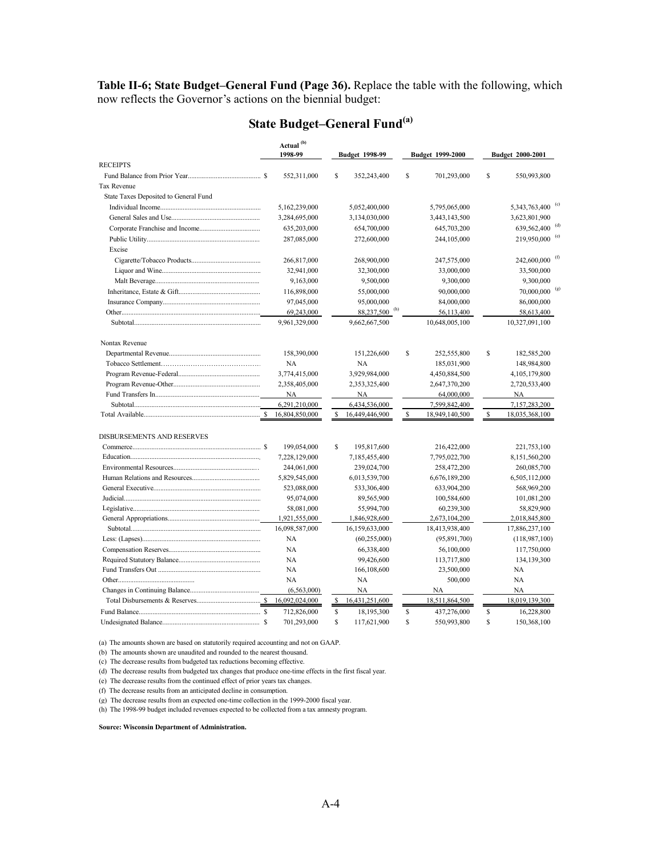**Table II-6; State Budget–General Fund (Page 36).** Replace the table with the following, which now reflects the Governor's actions on the biennial budget:

|                                       |   | Actual <sup>(b)</sup><br>1998-99 | <b>Budget 1998-99</b> |                           |    | Budget 1999-2000 |    | Budget 2000-2001             |
|---------------------------------------|---|----------------------------------|-----------------------|---------------------------|----|------------------|----|------------------------------|
| <b>RECEIPTS</b>                       |   |                                  |                       |                           |    |                  |    |                              |
|                                       |   | 552,311,000                      | S                     | 352,243,400               | \$ | 701,293,000      | \$ | 550,993,800                  |
| <b>Tax Revenue</b>                    |   |                                  |                       |                           |    |                  |    |                              |
| State Taxes Deposited to General Fund |   |                                  |                       |                           |    |                  |    |                              |
|                                       |   | 5,162,239,000                    |                       | 5,052,400,000             |    | 5,795,065,000    |    | 5,343,763,400 <sup>(c)</sup> |
|                                       |   | 3,284,695,000                    |                       | 3,134,030,000             |    | 3,443,143,500    |    | 3,623,801,900                |
|                                       |   | 635,203,000                      |                       | 654,700,000               |    | 645,703,200      |    | 639,562,400                  |
|                                       |   | 287,085,000                      |                       | 272,600,000               |    | 244,105,000      |    | 219,950,000 <sup>(e)</sup>   |
| Excise                                |   |                                  |                       |                           |    |                  |    |                              |
|                                       |   | 266,817,000                      |                       | 268,900,000               |    | 247,575,000      |    | $242,600,000$ <sup>(f)</sup> |
|                                       |   | 32,941,000                       |                       | 32,300,000                |    | 33,000,000       |    | 33,500,000                   |
|                                       |   | 9,163,000                        |                       | 9,500,000                 |    | 9,300,000        |    | 9,300,000                    |
|                                       |   | 116,898,000                      |                       | 55,000,000                |    | 90,000,000       |    | 70,000,000                   |
|                                       |   | 97,045,000                       |                       | 95,000,000                |    | 84,000,000       |    | 86,000,000                   |
|                                       |   | 69,243,000                       |                       | 88,237,500 <sup>(h)</sup> |    | 56,113,400       |    | 58,613,400                   |
|                                       |   | 9,961,329,000                    |                       | 9,662,667,500             |    | 10,648,005,100   |    | 10,327,091,100               |
|                                       |   |                                  |                       |                           |    |                  |    |                              |
| Nontax Revenue                        |   |                                  |                       |                           |    |                  |    |                              |
|                                       |   | 158,390,000                      |                       | 151,226,600               | \$ | 252,555,800      | \$ | 182,585,200                  |
|                                       |   | <b>NA</b>                        |                       | NA                        |    | 185,031,900      |    | 148,984,800                  |
|                                       |   | 3,774,415,000                    |                       | 3,929,984,000             |    | 4,450,884,500    |    | 4,105,179,800                |
|                                       |   | 2,358,405,000                    |                       | 2,353,325,400             |    | 2,647,370,200    |    | 2,720,533,400                |
|                                       |   | <b>NA</b>                        |                       | NA                        |    | 64,000,000       |    | NA                           |
|                                       |   | 6,291,210,000                    |                       | 6,434,536,000             |    | 7,599,842,400    |    | 7,157,283,200                |
|                                       | S | 16,804,850,000                   | S                     | 16,449,446,900            | \$ | 18,949,140,500   | S  | 18,035,368,100               |
| <b>DISBURSEMENTS AND RESERVES</b>     |   |                                  |                       |                           |    |                  |    |                              |
|                                       |   | 199,054,000                      | S                     | 195,817,600               |    | 216,422,000      |    | 221,753,100                  |
|                                       |   | 7,228,129,000                    |                       | 7,185,455,400             |    | 7,795,022,700    |    | 8,151,560,200                |
|                                       |   | 244,061,000                      |                       | 239,024,700               |    | 258,472,200      |    | 260,085,700                  |
|                                       |   | 5,829,545,000                    |                       | 6,013,539,700             |    | 6,676,189,200    |    | 6,505,112,000                |
|                                       |   | 523,088,000                      |                       | 533,306,400               |    | 633,904,200      |    | 568,969,200                  |
|                                       |   | 95,074,000                       |                       | 89,565,900                |    | 100,584,600      |    | 101,081,200                  |
|                                       |   | 58,081,000                       |                       | 55,994,700                |    | 60,239,300       |    | 58,829,900                   |
|                                       |   | 1,921,555,000                    |                       | 1,846,928,600             |    | 2,673,104,200    |    | 2,018,845,800                |
|                                       |   | 16,098,587,000                   |                       | 16,159,633,000            |    | 18,413,938,400   |    | 17,886,237,100               |
|                                       |   | NA                               |                       | (60, 255, 000)            |    | (95,891,700)     |    | (118,987,100)                |
|                                       |   | <b>NA</b>                        |                       | 66,338,400                |    | 56,100,000       |    | 117,750,000                  |
|                                       |   | <b>NA</b>                        |                       | 99,426,600                |    | 113,717,800      |    | 134,139,300                  |
|                                       |   | <b>NA</b>                        |                       |                           |    |                  |    |                              |
|                                       |   | <b>NA</b>                        |                       | 166,108,600<br>NA         |    | 23,500,000       |    | NA<br><b>NA</b>              |
|                                       |   |                                  |                       |                           |    | 500,000          |    |                              |
|                                       |   | (6.563.000)                      |                       | <b>NA</b>                 |    | <b>NA</b>        |    | NA                           |
|                                       |   | 16,092,024,000                   | s                     | 16,431,251,600            |    | 18,511,864,500   |    | 18,019,139,300               |
|                                       |   | 712,826,000                      | \$                    | 18,195,300                | \$ | 437,276,000      | S  | 16,228,800                   |
|                                       | S | 701,293,000                      | \$                    | 117,621,900               | Ŝ  | 550,993,800      | \$ | 150,368,100                  |

# **State Budget–General Fund(a)**

(a) The amounts shown are based on statutorily required accounting and not on GAAP.

(b) The amounts shown are unaudited and rounded to the nearest thousand.

(c) The decrease results from budgeted tax reductions becoming effective.

(d) The decrease results from budgeted tax changes that produce one-time effects in the first fiscal year.

(e) The decrease results from the continued effect of prior years tax changes.

(f) The decrease results from an anticipated decline in consumption.

(g) The decrease results from an expected one-time collection in the 1999-2000 fiscal year.

(h) The 1998-99 budget included revenues expected to be collected from a tax amnesty program.

**Source: Wisconsin Department of Administration.**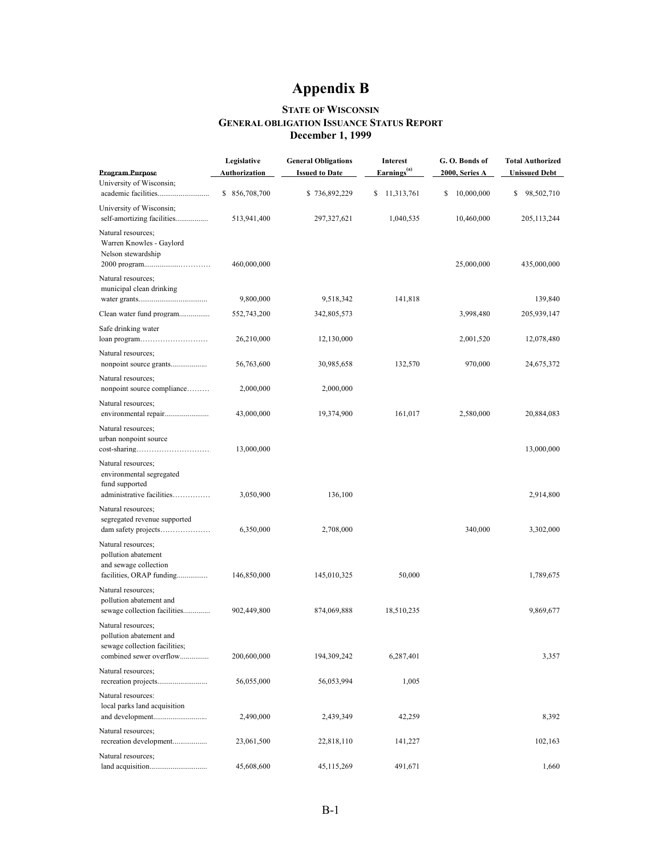# **Appendix B**

#### **STATE OF WISCONSIN GENERAL OBLIGATION ISSUANCE STATUS REPORT December 1, 1999**

<span id="page-19-2"></span><span id="page-19-1"></span><span id="page-19-0"></span>

| <b>Program Purpose</b>                                                                                    | Legislative<br><b>General Obligations</b><br><b>Issued to Date</b><br><b>Authorization</b> |               | <b>Interest</b><br>Earnings <sup>(a)</sup> | G.O. Bonds of<br>2000, Series A | <b>Total Authorized</b><br><b>Unissued Debt</b> |  |
|-----------------------------------------------------------------------------------------------------------|--------------------------------------------------------------------------------------------|---------------|--------------------------------------------|---------------------------------|-------------------------------------------------|--|
| University of Wisconsin;                                                                                  |                                                                                            |               |                                            |                                 |                                                 |  |
|                                                                                                           | \$856,708,700                                                                              | \$736,892,229 | \$<br>11,313,761                           | \$<br>10,000,000                | \$<br>98,502,710                                |  |
| University of Wisconsin;<br>self-amortizing facilities                                                    | 513,941,400                                                                                | 297, 327, 621 | 1,040,535                                  | 10,460,000                      | 205, 113, 244                                   |  |
| Natural resources;<br>Warren Knowles - Gaylord<br>Nelson stewardship                                      | 460,000,000                                                                                |               |                                            | 25,000,000                      | 435,000,000                                     |  |
| Natural resources;<br>municipal clean drinking                                                            |                                                                                            |               |                                            |                                 |                                                 |  |
|                                                                                                           | 9,800,000                                                                                  | 9,518,342     | 141,818                                    |                                 | 139,840                                         |  |
|                                                                                                           | 552,743,200                                                                                | 342,805,573   |                                            | 3,998,480                       | 205,939,147                                     |  |
| Safe drinking water<br>loan program                                                                       | 26,210,000                                                                                 | 12,130,000    |                                            | 2,001,520                       | 12,078,480                                      |  |
| Natural resources;                                                                                        | 56,763,600                                                                                 | 30,985,658    | 132,570                                    | 970,000                         | 24,675,372                                      |  |
| Natural resources;<br>nonpoint source compliance                                                          | 2,000,000                                                                                  | 2,000,000     |                                            |                                 |                                                 |  |
| Natural resources;                                                                                        | 43,000,000                                                                                 | 19,374,900    | 161,017                                    | 2,580,000                       | 20,884,083                                      |  |
| Natural resources;<br>urban nonpoint source                                                               | 13,000,000                                                                                 |               |                                            |                                 | 13,000,000                                      |  |
| Natural resources;<br>environmental segregated<br>fund supported<br>administrative facilities             | 3,050,900                                                                                  | 136,100       |                                            |                                 | 2,914,800                                       |  |
| Natural resources;<br>segregated revenue supported                                                        | 6,350,000                                                                                  | 2,708,000     |                                            | 340,000                         | 3,302,000                                       |  |
| Natural resources;<br>pollution abatement<br>and sewage collection<br>facilities, ORAP funding            | 146,850,000                                                                                | 145,010,325   | 50,000                                     |                                 | 1,789,675                                       |  |
| Natural resources;<br>pollution abatement and<br>sewage collection facilities                             | 902,449,800                                                                                | 874,069,888   | 18,510,235                                 |                                 | 9,869,677                                       |  |
| Natural resources;<br>pollution abatement and<br>sewage collection facilities;<br>combined sewer overflow | 200,600,000                                                                                | 194, 309, 242 | 6,287,401                                  |                                 | 3,357                                           |  |
| Natural resources;                                                                                        | 56,055,000                                                                                 | 56,053,994    | 1,005                                      |                                 |                                                 |  |
| Natural resources:<br>local parks land acquisition                                                        | 2,490,000                                                                                  | 2,439,349     | 42,259                                     |                                 | 8,392                                           |  |
| Natural resources;<br>recreation development                                                              | 23,061,500                                                                                 | 22,818,110    | 141,227                                    |                                 | 102,163                                         |  |
| Natural resources;                                                                                        | 45,608,600                                                                                 | 45, 115, 269  | 491,671                                    |                                 | 1,660                                           |  |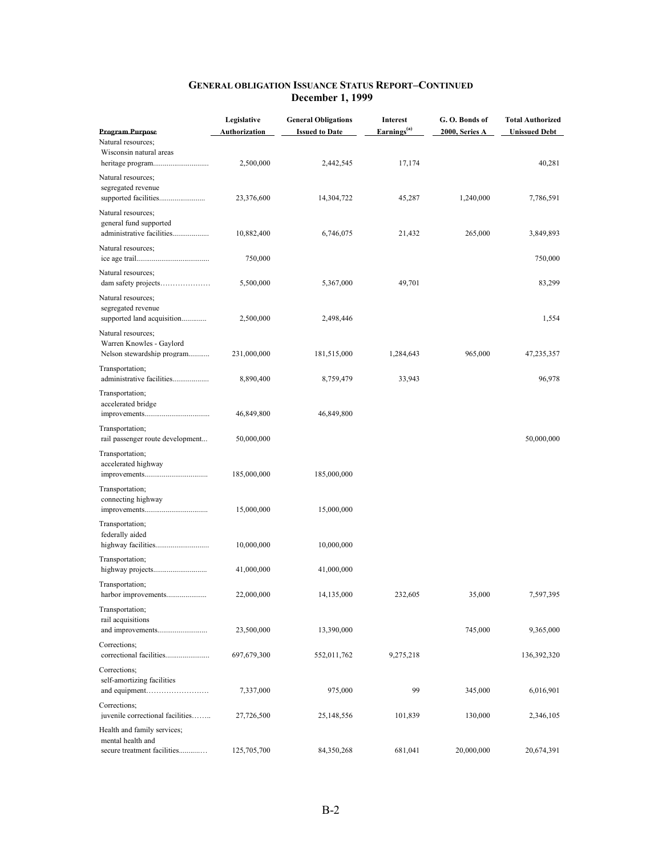|                                                                              | Legislative                       | <b>General Obligations</b>         | <b>Interest</b><br>Earnings <sup>(a)</sup> | G.O. Bonds of  | <b>Total Authorized</b>        |
|------------------------------------------------------------------------------|-----------------------------------|------------------------------------|--------------------------------------------|----------------|--------------------------------|
| <b>Program Purpose</b><br>Natural resources;<br>Wisconsin natural areas      | <u>Authorization</u><br>2,500,000 | <b>Issued to Date</b><br>2,442,545 | 17,174                                     | 2000, Series A | <b>Unissued Debt</b><br>40,281 |
| Natural resources;<br>segregated revenue                                     | 23,376,600                        | 14,304,722                         | 45,287                                     | 1,240,000      | 7,786,591                      |
| Natural resources;<br>general fund supported<br>administrative facilities    | 10,882,400                        | 6,746,075                          | 21,432                                     | 265,000        | 3,849,893                      |
| Natural resources;                                                           | 750,000                           |                                    |                                            |                | 750,000                        |
| Natural resources;                                                           | 5,500,000                         | 5,367,000                          | 49,701                                     |                | 83,299                         |
| Natural resources;<br>segregated revenue<br>supported land acquisition       | 2,500,000                         | 2,498,446                          |                                            |                | 1,554                          |
| Natural resources;<br>Warren Knowles - Gaylord<br>Nelson stewardship program | 231,000,000                       | 181,515,000                        | 1,284,643                                  | 965,000        | 47,235,357                     |
| Transportation;<br>administrative facilities                                 | 8,890,400                         | 8,759,479                          | 33,943                                     |                | 96,978                         |
| Transportation;<br>accelerated bridge                                        | 46,849,800                        | 46,849,800                         |                                            |                |                                |
| Transportation;<br>rail passenger route development                          | 50,000,000                        |                                    |                                            |                | 50,000,000                     |
| Transportation;<br>accelerated highway                                       | 185,000,000                       | 185,000,000                        |                                            |                |                                |
| Transportation;<br>connecting highway                                        | 15,000,000                        | 15,000,000                         |                                            |                |                                |
| Transportation;<br>federally aided                                           | 10,000,000                        | 10,000,000                         |                                            |                |                                |
| Transportation;                                                              | 41,000,000                        | 41,000,000                         |                                            |                |                                |
| Transportation;<br>harbor improvements                                       | 22,000,000                        | 14,135,000                         | 232,605                                    | 35,000         | 7,597,395                      |
| Transportation;<br>rail acquisitions                                         | 23,500,000                        | 13,390,000                         |                                            | 745,000        | 9,365,000                      |
| Corrections;                                                                 | 697,679,300                       | 552,011,762                        | 9,275,218                                  |                | 136,392,320                    |
| Corrections;<br>self-amortizing facilities                                   | 7,337,000                         | 975,000                            | 99                                         | 345,000        | 6,016,901                      |
| Corrections;<br>iuvenile correctional facilities                             | 27,726,500                        | 25,148,556                         | 101,839                                    | 130,000        | 2,346,105                      |
| Health and family services;<br>mental health and                             |                                   |                                    |                                            |                |                                |
| secure treatment facilities                                                  | 125,705,700                       | 84,350,268                         | 681,041                                    | 20,000,000     | 20,674,391                     |

#### **GENERAL OBLIGATION ISSUANCE STATUS REPORT–CONTINUED December 1, 1999**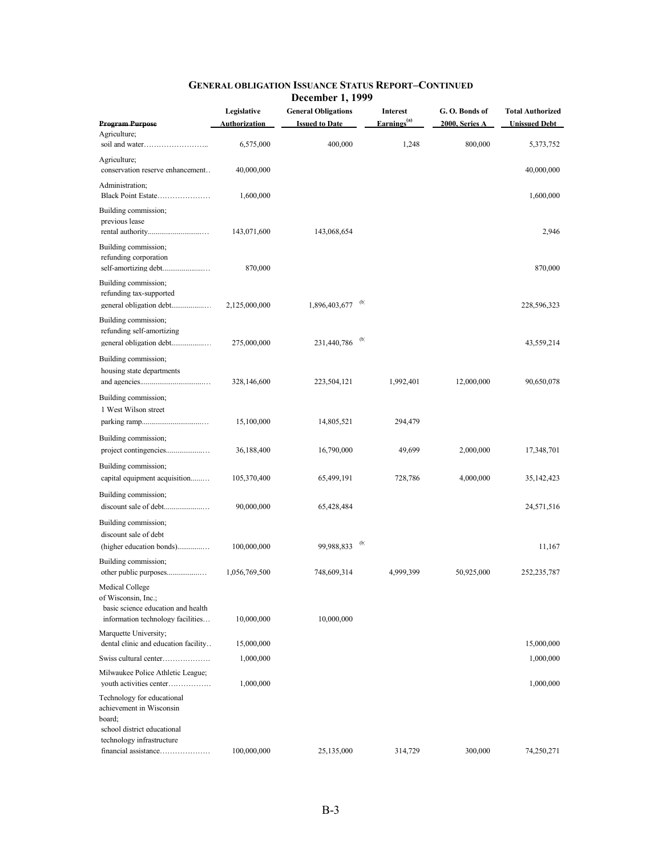|                                                                                                                   | Legislative          | <b>General Obligations</b> | <b>Interest</b>           | G.O. Bonds of  | <b>Total Authorized</b> |
|-------------------------------------------------------------------------------------------------------------------|----------------------|----------------------------|---------------------------|----------------|-------------------------|
| <b>Program Purpose</b>                                                                                            | <b>Authorization</b> | <b>Issued to Date</b>      | Earnings <sup>(a)</sup>   | 2000, Series A | <b>Unissued Debt</b>    |
| Agriculture;                                                                                                      | 6,575,000            | 400,000                    | 1,248                     | 800,000        | 5,373,752               |
| Agriculture;<br>conservation reserve enhancement                                                                  | 40,000,000           |                            |                           |                | 40,000,000              |
| Administration;<br>Black Point Estate                                                                             | 1,600,000            |                            |                           |                | 1,600,000               |
| Building commission;<br>previous lease                                                                            | 143,071,600          | 143,068,654                |                           |                | 2,946                   |
| Building commission;<br>refunding corporation                                                                     | 870,000              |                            |                           |                | 870,000                 |
| Building commission;<br>refunding tax-supported<br>general obligation debt                                        | 2,125,000,000        | 1,896,403,677 (b)          |                           |                | 228,596,323             |
| Building commission;<br>refunding self-amortizing                                                                 | 275,000,000          | 231,440,786                | $\phi$                    |                | 43,559,214              |
| Building commission;<br>housing state departments                                                                 | 328,146,600          | 223,504,121                | 1,992,401                 | 12,000,000     | 90,650,078              |
| Building commission;<br>1 West Wilson street                                                                      | 15,100,000           | 14,805,521                 | 294,479                   |                |                         |
| Building commission;                                                                                              | 36,188,400           | 16,790,000                 | 49,699                    | 2,000,000      | 17,348,701              |
| Building commission;<br>capital equipment acquisition                                                             | 105,370,400          | 65,499,191                 | 728,786                   | 4,000,000      | 35, 142, 423            |
| Building commission;                                                                                              | 90,000,000           | 65,428,484                 |                           |                | 24,571,516              |
| Building commission;<br>discount sale of debt<br>(higher education bonds)                                         | 100,000,000          | 99,988,833                 | $\left(\mathbf{p}\right)$ |                | 11,167                  |
| Building commission;<br>other public purposes                                                                     | 1,056,769,500        | 748,609,314                | 4,999,399                 | 50,925,000     | 252,235,787             |
| Medical College<br>of Wisconsin, Inc.;<br>basic science education and health<br>information technology facilities | 10,000,000           | 10,000,000                 |                           |                |                         |
| Marquette University;<br>dental clinic and education facility                                                     | 15,000,000           |                            |                           |                | 15,000,000              |
| Swiss cultural center                                                                                             | 1,000,000            |                            |                           |                | 1,000,000               |
| Milwaukee Police Athletic League;<br>youth activities center                                                      | 1,000,000            |                            |                           |                | 1,000,000               |
| Technology for educational<br>achievement in Wisconsin<br>board;<br>school district educational                   |                      |                            |                           |                |                         |
| technology infrastructure<br>financial assistance                                                                 | 100,000,000          | 25,135,000                 | 314,729                   | 300,000        | 74,250,271              |

## **GENERAL OBLIGATION ISSUANCE STATUS REPORT–CONTINUED**

 **December 1, 1999**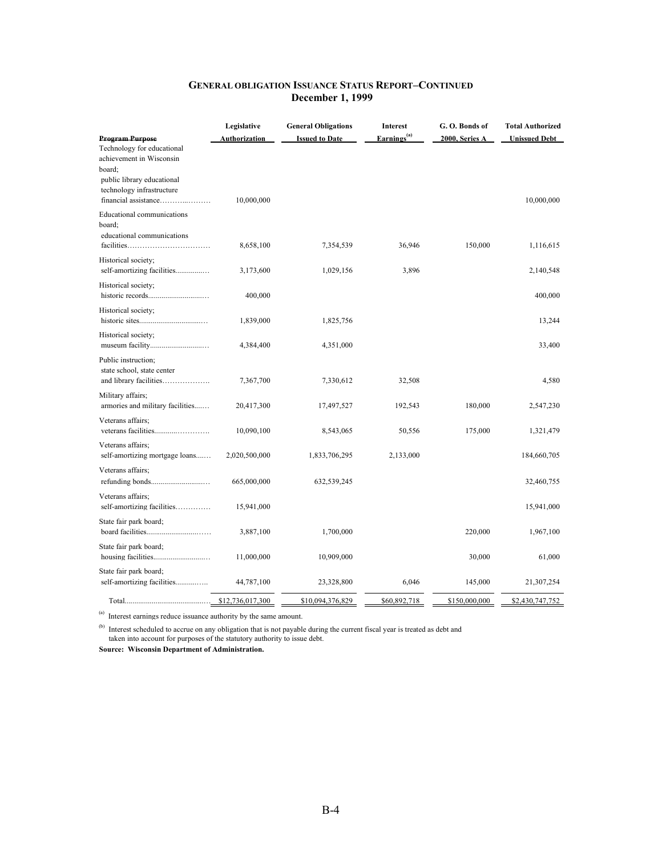| <b>GENERAL OBLIGATION ISSUANCE STATUS REPORT-CONTINUED</b> |
|------------------------------------------------------------|
| <b>December 1, 1999</b>                                    |

| <b>Program Purpose</b>                                                                                                                              | Legislative<br>Authorization | <b>General Obligations</b><br><b>Issued to Date</b> | <b>Interest</b><br>Earnings <sup>(a)</sup> | G.O. Bonds of<br>2000, Series A | <b>Total Authorized</b><br><b>Unissued Debt</b> |
|-----------------------------------------------------------------------------------------------------------------------------------------------------|------------------------------|-----------------------------------------------------|--------------------------------------------|---------------------------------|-------------------------------------------------|
| Technology for educational<br>achievement in Wisconsin<br>board:<br>public library educational<br>technology infrastructure<br>financial assistance | 10,000,000                   |                                                     |                                            |                                 | 10,000,000                                      |
| Educational communications<br>board:<br>educational communications<br>$facilities \dots \dots \dots \dots \dots \dots \dots \dots \dots \dots$      | 8,658,100                    | 7,354,539                                           | 36,946                                     | 150,000                         | 1,116,615                                       |
| Historical society;<br>self-amortizing facilities                                                                                                   | 3,173,600                    | 1,029,156                                           | 3,896                                      |                                 | 2,140,548                                       |
| Historical society;                                                                                                                                 | 400,000                      |                                                     |                                            |                                 | 400,000                                         |
| Historical society;                                                                                                                                 | 1,839,000                    | 1,825,756                                           |                                            |                                 | 13,244                                          |
| Historical society;                                                                                                                                 | 4,384,400                    | 4,351,000                                           |                                            |                                 | 33,400                                          |
| Public instruction;<br>state school, state center<br>and library facilities                                                                         | 7,367,700                    | 7,330,612                                           | 32,508                                     |                                 | 4,580                                           |
| Military affairs;<br>armories and military facilities                                                                                               | 20,417,300                   | 17,497,527                                          | 192,543                                    | 180,000                         | 2,547,230                                       |
| Veterans affairs:                                                                                                                                   | 10,090,100                   | 8,543,065                                           | 50,556                                     | 175,000                         | 1,321,479                                       |
| Veterans affairs;<br>self-amortizing mortgage loans                                                                                                 | 2,020,500,000                | 1,833,706,295                                       | 2,133,000                                  |                                 | 184,660,705                                     |
| Veterans affairs;                                                                                                                                   | 665,000,000                  | 632,539,245                                         |                                            |                                 | 32,460,755                                      |
| Veterans affairs;<br>self-amortizing facilities                                                                                                     | 15,941,000                   |                                                     |                                            |                                 | 15,941,000                                      |
| State fair park board;                                                                                                                              | 3,887,100                    | 1,700,000                                           |                                            | 220,000                         | 1,967,100                                       |
| State fair park board;                                                                                                                              | 11,000,000                   | 10,909,000                                          |                                            | 30,000                          | 61,000                                          |
| State fair park board;<br>self-amortizing facilities                                                                                                | 44,787,100                   | 23,328,800                                          | 6,046                                      | 145,000                         | 21,307,254                                      |
|                                                                                                                                                     | \$12,736,017,300             | \$10.094.376.829                                    | \$60,892,718                               | \$150,000,000                   | \$2,430,747,752                                 |

(a) Interest earnings reduce issuance authority by the same amount.

<sup>(b)</sup> Interest scheduled to accrue on any obligation that is not payable during the current fiscal year is treated as debt and taken into account for purposes of the statutory authority to issue debt.

**Source: Wisconsin Department of Administration.**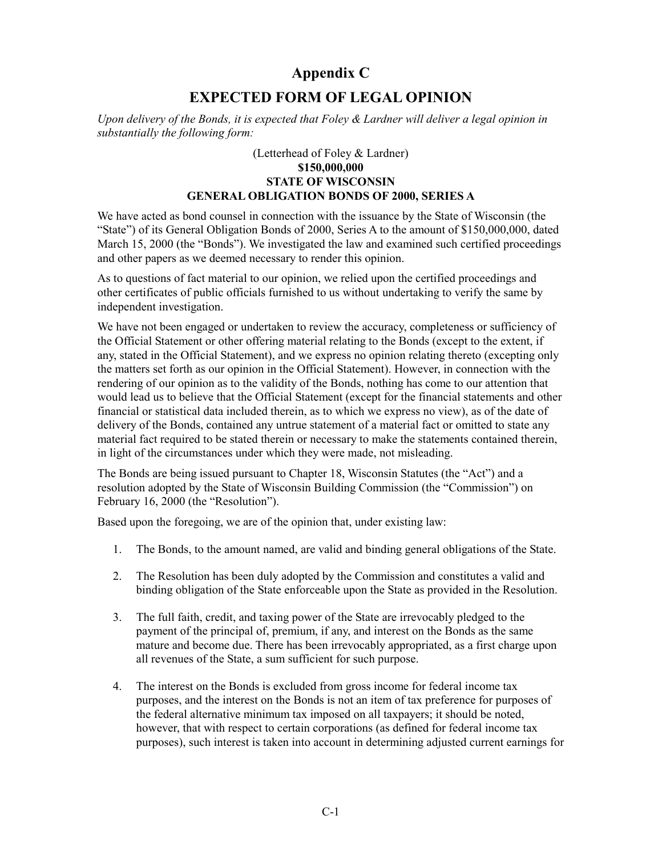# **Appendix C**

# **EXPECTED FORM OF LEGAL OPINION**

<span id="page-23-2"></span><span id="page-23-1"></span><span id="page-23-0"></span>*Upon delivery of the Bonds, it is expected that Foley & Lardner will deliver a legal opinion in substantially the following form:*

### (Letterhead of Foley & Lardner) **\$150,000,000 STATE OF WISCONSIN GENERAL OBLIGATION BONDS OF 2000, SERIES A**

We have acted as bond counsel in connection with the issuance by the State of Wisconsin (the "State") of its General Obligation Bonds of 2000, Series A to the amount of \$150,000,000, dated March 15, 2000 (the "Bonds"). We investigated the law and examined such certified proceedings and other papers as we deemed necessary to render this opinion.

As to questions of fact material to our opinion, we relied upon the certified proceedings and other certificates of public officials furnished to us without undertaking to verify the same by independent investigation.

We have not been engaged or undertaken to review the accuracy, completeness or sufficiency of the Official Statement or other offering material relating to the Bonds (except to the extent, if any, stated in the Official Statement), and we express no opinion relating thereto (excepting only the matters set forth as our opinion in the Official Statement). However, in connection with the rendering of our opinion as to the validity of the Bonds, nothing has come to our attention that would lead us to believe that the Official Statement (except for the financial statements and other financial or statistical data included therein, as to which we express no view), as of the date of delivery of the Bonds, contained any untrue statement of a material fact or omitted to state any material fact required to be stated therein or necessary to make the statements contained therein, in light of the circumstances under which they were made, not misleading.

The Bonds are being issued pursuant to Chapter 18, Wisconsin Statutes (the "Act") and a resolution adopted by the State of Wisconsin Building Commission (the "Commission") on February 16, 2000 (the "Resolution").

Based upon the foregoing, we are of the opinion that, under existing law:

- 1. The Bonds, to the amount named, are valid and binding general obligations of the State.
- 2. The Resolution has been duly adopted by the Commission and constitutes a valid and binding obligation of the State enforceable upon the State as provided in the Resolution.
- 3. The full faith, credit, and taxing power of the State are irrevocably pledged to the payment of the principal of, premium, if any, and interest on the Bonds as the same mature and become due. There has been irrevocably appropriated, as a first charge upon all revenues of the State, a sum sufficient for such purpose.
- 4. The interest on the Bonds is excluded from gross income for federal income tax purposes, and the interest on the Bonds is not an item of tax preference for purposes of the federal alternative minimum tax imposed on all taxpayers; it should be noted, however, that with respect to certain corporations (as defined for federal income tax purposes), such interest is taken into account in determining adjusted current earnings for